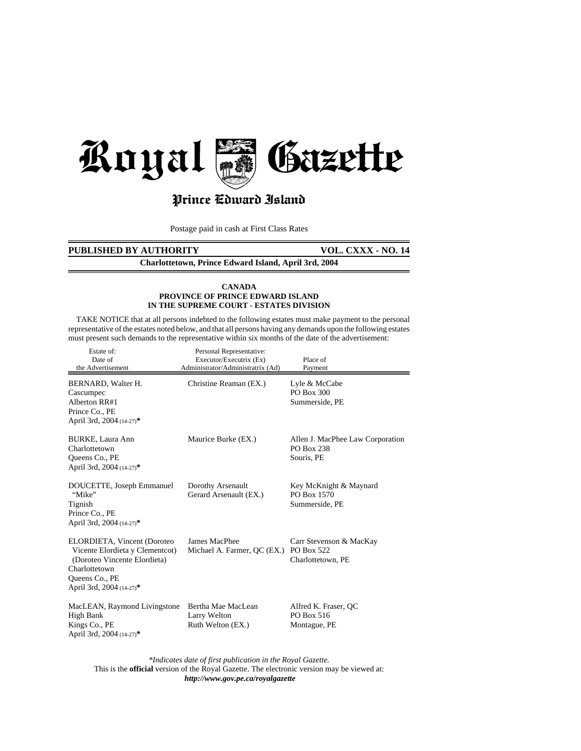

# Prince Cdward Island

Postage paid in cash at First Class Rates

# **PUBLISHED BY AUTHORITY VOL. CXXX - NO. 14**

**Charlottetown, Prince Edward Island, April 3rd, 2004**

#### **CANADA PROVINCE OF PRINCE EDWARD ISLAND IN THE SUPREME COURT - ESTATES DIVISION**

 TAKE NOTICE that at all persons indebted to the following estates must make payment to the personal representative of the estates noted below, and that all persons having any demands upon the following estates must present such demands to the representative within six months of the date of the advertisement:

| Estate of:<br>Date of<br>the Advertisement                                                                                                                    | Personal Representative:<br>Executor/Executrix (Ex)<br>Administrator/Administratrix (Ad) | Place of<br>Payment                                          |
|---------------------------------------------------------------------------------------------------------------------------------------------------------------|------------------------------------------------------------------------------------------|--------------------------------------------------------------|
| BERNARD, Walter H.<br>Cascumpec<br>Alberton RR#1<br>Prince Co., PE<br>April 3rd, 2004 (14-27)*                                                                | Christine Reaman (EX.)                                                                   | Lyle & McCabe<br>PO Box 300<br>Summerside, PE                |
| BURKE, Laura Ann<br>Charlottetown<br>Queens Co., PE<br>April 3rd, 2004 (14-27)*                                                                               | Maurice Burke (EX.)                                                                      | Allen J. MacPhee Law Corporation<br>PO Box 238<br>Souris, PE |
| DOUCETTE, Joseph Emmanuel<br>"Mike"<br>Tignish<br>Prince Co., PE<br>April 3rd, 2004 (14-27)*                                                                  | Dorothy Arsenault<br>Gerard Arsenault (EX.)                                              | Key McKnight & Maynard<br>PO Box 1570<br>Summerside, PE      |
| ELORDIETA, Vincent (Doroteo<br>Vicente Elordieta y Clementcot)<br>(Doroteo Vincente Elordieta)<br>Charlottetown<br>Queens Co., PE<br>April 3rd, 2004 (14-27)* | James MacPhee<br>Michael A. Farmer, QC (EX.) PO Box 522                                  | Carr Stevenson & MacKay<br>Charlottetown, PE                 |
| MacLEAN, Raymond Livingstone<br>High Bank<br>Kings Co., PE<br>April 3rd, 2004 (14-27)*                                                                        | Bertha Mae MacLean<br>Larry Welton<br>Ruth Welton (EX.)                                  | Alfred K. Fraser, QC<br>PO Box 516<br>Montague, PE           |

*\*Indicates date of first publication in the Royal Gazette.* This is the **official** version of the Royal Gazette. The electronic version may be viewed at: *http://www.gov.pe.ca/royalgazette*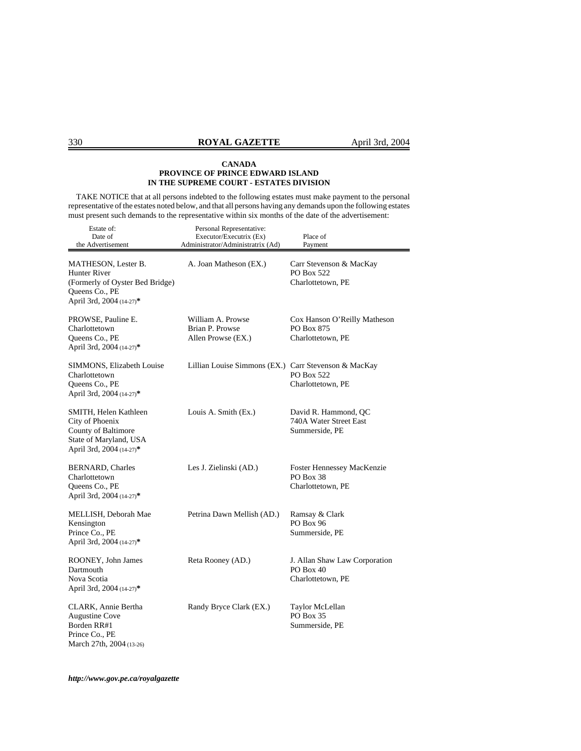TAKE NOTICE that at all persons indebted to the following estates must make payment to the personal representative of the estates noted below, and that all persons having any demands upon the following estates must present such demands to the representative within six months of the date of the advertisement:

| Estate of:<br>Date of<br>the Advertisement                                                                            | Personal Representative:<br>Executor/Executrix (Ex)<br>Administrator/Administratrix (Ad) | Place of<br>Payment                                               |
|-----------------------------------------------------------------------------------------------------------------------|------------------------------------------------------------------------------------------|-------------------------------------------------------------------|
| MATHESON, Lester B.<br>Hunter River<br>(Formerly of Oyster Bed Bridge)<br>Queens Co., PE<br>April 3rd, 2004 (14-27)*  | A. Joan Matheson (EX.)                                                                   | Carr Stevenson & MacKay<br><b>PO Box 522</b><br>Charlottetown, PE |
| PROWSE, Pauline E.<br>Charlottetown<br>Queens Co., PE<br>April 3rd, 2004 (14-27)*                                     | William A. Prowse<br>Brian P. Prowse<br>Allen Prowse (EX.)                               | Cox Hanson O'Reilly Matheson<br>PO Box 875<br>Charlottetown, PE   |
| SIMMONS, Elizabeth Louise<br>Charlottetown<br>Queens Co., PE<br>April 3rd, 2004 (14-27)*                              | Lillian Louise Simmons (EX.) Carr Stevenson & MacKay                                     | PO Box 522<br>Charlottetown, PE                                   |
| SMITH, Helen Kathleen<br>City of Phoenix<br>County of Baltimore<br>State of Maryland, USA<br>April 3rd, 2004 (14-27)* | Louis A. Smith (Ex.)                                                                     | David R. Hammond, QC<br>740A Water Street East<br>Summerside, PE  |
| <b>BERNARD, Charles</b><br>Charlottetown<br>Queens Co., PE<br>April 3rd, 2004 (14-27)*                                | Les J. Zielinski (AD.)                                                                   | Foster Hennessey MacKenzie<br>PO Box 38<br>Charlottetown, PE      |
| MELLISH, Deborah Mae<br>Kensington<br>Prince Co., PE<br>April 3rd, 2004 (14-27)*                                      | Petrina Dawn Mellish (AD.)                                                               | Ramsay & Clark<br>PO Box 96<br>Summerside, PE                     |
| ROONEY, John James<br>Dartmouth<br>Nova Scotia<br>April 3rd, 2004 (14-27)*                                            | Reta Rooney (AD.)                                                                        | J. Allan Shaw Law Corporation<br>PO Box 40<br>Charlottetown, PE   |
| CLARK, Annie Bertha<br><b>Augustine Cove</b><br>Borden RR#1<br>Prince Co., PE<br>March 27th, 2004 (13-26)             | Randy Bryce Clark (EX.)                                                                  | Taylor McLellan<br>PO Box 35<br>Summerside, PE                    |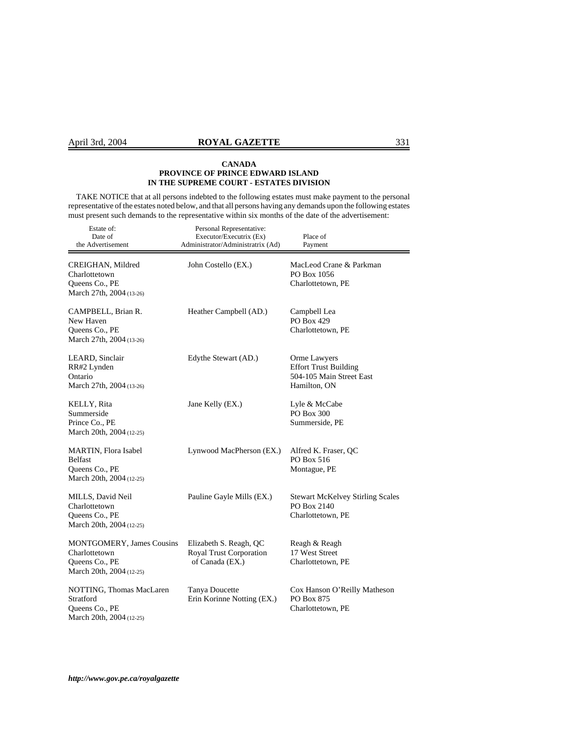TAKE NOTICE that at all persons indebted to the following estates must make payment to the personal representative of the estates noted below, and that all persons having any demands upon the following estates must present such demands to the representative within six months of the date of the advertisement:

| Estate of:<br>Date of<br>the Advertisement                                                      | Personal Representative:<br>Executor/Executrix (Ex)<br>Administrator/Administratrix (Ad) | Place of<br>Payment                                                                      |
|-------------------------------------------------------------------------------------------------|------------------------------------------------------------------------------------------|------------------------------------------------------------------------------------------|
| CREIGHAN, Mildred<br>Charlottetown<br>Queens Co., PE<br>March 27th, 2004 (13-26)                | John Costello (EX.)                                                                      | MacLeod Crane & Parkman<br>PO Box 1056<br>Charlottetown, PE                              |
| CAMPBELL, Brian R.<br>New Haven<br>Queens Co., PE<br>March 27th, 2004 (13-26)                   | Heather Campbell (AD.)                                                                   | Campbell Lea<br>PO Box 429<br>Charlottetown, PE                                          |
| LEARD, Sinclair<br>RR#2 Lynden<br>Ontario<br>March 27th, 2004 (13-26)                           | Edythe Stewart (AD.)                                                                     | Orme Lawyers<br><b>Effort Trust Building</b><br>504-105 Main Street East<br>Hamilton, ON |
| KELLY, Rita<br>Summerside<br>Prince Co., PE<br>March 20th, 2004 (12-25)                         | Jane Kelly (EX.)                                                                         | Lyle & McCabe<br>PO Box 300<br>Summerside, PE                                            |
| MARTIN, Flora Isabel<br><b>Belfast</b><br>Queens Co., PE<br>March 20th, 2004 (12-25)            | Lynwood MacPherson (EX.)                                                                 | Alfred K. Fraser, QC<br>PO Box 516<br>Montague, PE                                       |
| MILLS, David Neil<br>Charlottetown<br>Queens Co., PE<br>March 20th, 2004 (12-25)                | Pauline Gayle Mills (EX.)                                                                | <b>Stewart McKelvey Stirling Scales</b><br>PO Box 2140<br>Charlottetown, PE              |
| <b>MONTGOMERY, James Cousins</b><br>Charlottetown<br>Queens Co., PE<br>March 20th, 2004 (12-25) | Elizabeth S. Reagh, QC<br>Royal Trust Corporation<br>of Canada (EX.)                     | Reagh & Reagh<br>17 West Street<br>Charlottetown, PE                                     |
| NOTTING, Thomas MacLaren<br>Stratford<br>Queens Co., PE<br>March 20th, 2004 (12-25)             | <b>Tanya Doucette</b><br>Erin Korinne Notting (EX.)                                      | Cox Hanson O'Reilly Matheson<br>PO Box 875<br>Charlottetown, PE                          |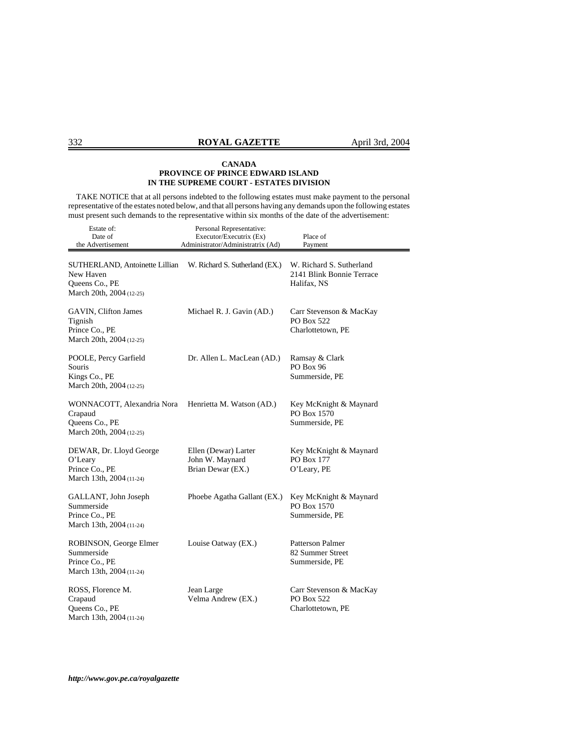TAKE NOTICE that at all persons indebted to the following estates must make payment to the personal representative of the estates noted below, and that all persons having any demands upon the following estates must present such demands to the representative within six months of the date of the advertisement:

| Estate of:<br>Date of<br>the Advertisement                                                | Personal Representative:<br>Executor/Executrix (Ex)<br>Administrator/Administratrix (Ad) | Place of<br>Payment                                                  |
|-------------------------------------------------------------------------------------------|------------------------------------------------------------------------------------------|----------------------------------------------------------------------|
| SUTHERLAND, Antoinette Lillian<br>New Haven<br>Queens Co., PE<br>March 20th, 2004 (12-25) | W. Richard S. Sutherland (EX.)                                                           | W. Richard S. Sutherland<br>2141 Blink Bonnie Terrace<br>Halifax, NS |
| GAVIN, Clifton James<br>Tignish<br>Prince Co., PE<br>March 20th, 2004 (12-25)             | Michael R. J. Gavin (AD.)                                                                | Carr Stevenson & MacKay<br>PO Box 522<br>Charlottetown, PE           |
| POOLE, Percy Garfield<br>Souris<br>Kings Co., PE<br>March 20th, 2004 (12-25)              | Dr. Allen L. MacLean (AD.)                                                               | Ramsay & Clark<br><b>PO Box 96</b><br>Summerside, PE                 |
| WONNACOTT, Alexandria Nora<br>Crapaud<br>Queens Co., PE<br>March 20th, 2004 (12-25)       | Henrietta M. Watson (AD.)                                                                | Key McKnight & Maynard<br>PO Box 1570<br>Summerside, PE              |
| DEWAR, Dr. Lloyd George<br>O'Leary<br>Prince Co., PE<br>March 13th, 2004 (11-24)          | Ellen (Dewar) Larter<br>John W. Maynard<br>Brian Dewar (EX.)                             | Key McKnight & Maynard<br>PO Box 177<br>O'Leary, PE                  |
| GALLANT, John Joseph<br>Summerside<br>Prince Co., PE<br>March 13th, 2004 (11-24)          | Phoebe Agatha Gallant (EX.)                                                              | Key McKnight & Maynard<br>PO Box 1570<br>Summerside, PE              |
| ROBINSON, George Elmer<br>Summerside<br>Prince Co., PE<br>March 13th, 2004 (11-24)        | Louise Oatway (EX.)                                                                      | Patterson Palmer<br>82 Summer Street<br>Summerside, PE               |
| ROSS, Florence M.<br>Crapaud<br>Queens Co., PE<br>March 13th, 2004 (11-24)                | Jean Large<br>Velma Andrew (EX.)                                                         | Carr Stevenson & MacKay<br>PO Box 522<br>Charlottetown, PE           |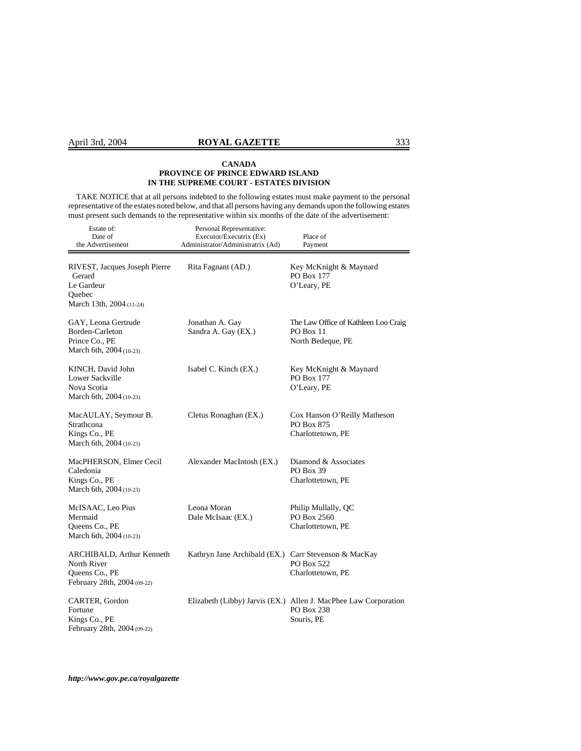TAKE NOTICE that at all persons indebted to the following estates must make payment to the personal representative of the estates noted below, and that all persons having any demands upon the following estates must present such demands to the representative within six months of the date of the advertisement:

| Estate of:<br>Date of<br>the Advertisement                                                  | Personal Representative:<br>Executor/Executrix (Ex)<br>Administrator/Administratrix (Ad) | Place of<br>Payment                                                                         |
|---------------------------------------------------------------------------------------------|------------------------------------------------------------------------------------------|---------------------------------------------------------------------------------------------|
| RIVEST, Jacques Joseph Pierre<br>Gerard<br>Le Gardeur<br>Quebec<br>March 13th, 2004 (11-24) | Rita Fagnant (AD.)                                                                       | Key McKnight & Maynard<br>PO Box 177<br>O'Leary, PE                                         |
| GAY, Leona Gertrude<br>Borden-Carleton<br>Prince Co., PE<br>March 6th, 2004 (10-23)         | Jonathan A. Gay<br>Sandra A. Gay (EX.)                                                   | The Law Office of Kathleen Loo Craig<br>PO Box 11<br>North Bedeque, PE                      |
| KINCH, David John<br>Lower Sackville<br>Nova Scotia<br>March 6th, 2004 (10-23)              | Isabel C. Kinch (EX.)                                                                    | Key McKnight & Maynard<br>PO Box 177<br>O'Leary, PE                                         |
| MacAULAY, Seymour B.<br>Strathcona<br>Kings Co., PE<br>March 6th, 2004 (10-23)              | Cletus Ronaghan (EX.)                                                                    | Cox Hanson O'Reilly Matheson<br>PO Box 875<br>Charlottetown, PE                             |
| MacPHERSON, Elmer Cecil<br>Caledonia<br>Kings Co., PE<br>March 6th, 2004 (10-23)            | Alexander MacIntosh (EX.)                                                                | Diamond & Associates<br><b>PO Box 39</b><br>Charlottetown, PE                               |
| McISAAC, Leo Pius<br>Mermaid<br>Queens Co., PE<br>March 6th, 2004 (10-23)                   | Leona Moran<br>Dale McIsaac (EX.)                                                        | Philip Mullally, QC<br>PO Box 2560<br>Charlottetown, PE                                     |
| ARCHIBALD, Arthur Kenneth<br>North River<br>Queens Co., PE<br>February 28th, 2004 (09-22)   | Kathryn Jane Archibald (EX.)                                                             | Carr Stevenson & MacKay<br>PO Box 522<br>Charlottetown, PE                                  |
| CARTER, Gordon<br>Fortune<br>Kings Co., PE<br>February 28th, 2004 (09-22)                   |                                                                                          | Elizabeth (Libby) Jarvis (EX.) Allen J. MacPhee Law Corporation<br>PO Box 238<br>Souris, PE |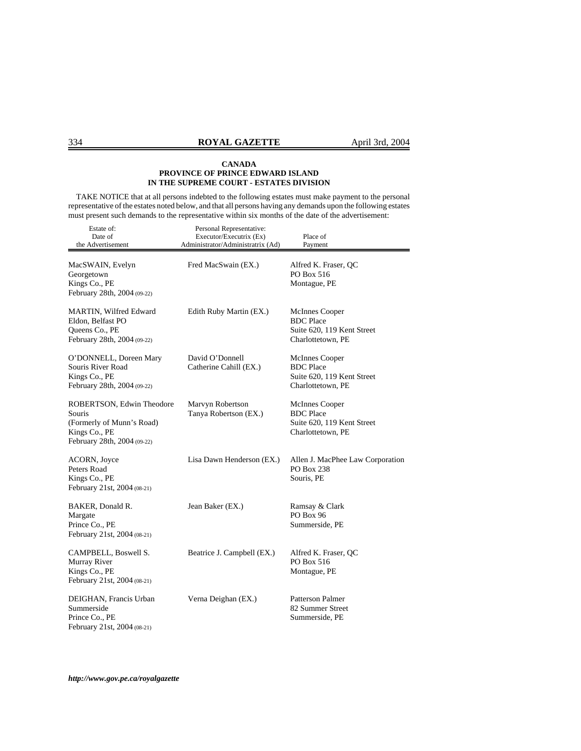TAKE NOTICE that at all persons indebted to the following estates must make payment to the personal representative of the estates noted below, and that all persons having any demands upon the following estates must present such demands to the representative within six months of the date of the advertisement:

| Estate of:<br>Date of<br>the Advertisement                                                                       | Personal Representative:<br>Executor/Executrix (Ex)<br>Administrator/Administratrix (Ad) | Place of<br>Payment                                                                          |
|------------------------------------------------------------------------------------------------------------------|------------------------------------------------------------------------------------------|----------------------------------------------------------------------------------------------|
| MacSWAIN, Evelyn<br>Georgetown<br>Kings Co., PE<br>February 28th, 2004 (09-22)                                   | Fred MacSwain (EX.)                                                                      | Alfred K. Fraser, QC<br>PO Box 516<br>Montague, PE                                           |
| MARTIN, Wilfred Edward<br>Eldon, Belfast PO<br>Queens Co., PE<br>February 28th, 2004 (09-22)                     | Edith Ruby Martin (EX.)                                                                  | <b>McInnes Cooper</b><br><b>BDC</b> Place<br>Suite 620, 119 Kent Street<br>Charlottetown, PE |
| O'DONNELL, Doreen Mary<br>Souris River Road<br>Kings Co., PE<br>February 28th, 2004 (09-22)                      | David O'Donnell<br>Catherine Cahill (EX.)                                                | McInnes Cooper<br><b>BDC</b> Place<br>Suite 620, 119 Kent Street<br>Charlottetown, PE        |
| ROBERTSON, Edwin Theodore<br>Souris<br>(Formerly of Munn's Road)<br>Kings Co., PE<br>February 28th, 2004 (09-22) | Marvyn Robertson<br>Tanya Robertson (EX.)                                                | McInnes Cooper<br><b>BDC</b> Place<br>Suite 620, 119 Kent Street<br>Charlottetown, PE        |
| ACORN, Joyce<br>Peters Road<br>Kings Co., PE<br>February 21st, 2004 (08-21)                                      | Lisa Dawn Henderson (EX.)                                                                | Allen J. MacPhee Law Corporation<br>PO Box 238<br>Souris, PE                                 |
| BAKER, Donald R.<br>Margate<br>Prince Co., PE<br>February 21st, 2004 (08-21)                                     | Jean Baker (EX.)                                                                         | Ramsay & Clark<br>PO Box 96<br>Summerside, PE                                                |
| CAMPBELL, Boswell S.<br>Murray River<br>Kings Co., PE<br>February 21st, 2004 (08-21)                             | Beatrice J. Campbell (EX.)                                                               | Alfred K. Fraser, QC<br>PO Box 516<br>Montague, PE                                           |
| DEIGHAN, Francis Urban<br>Summerside<br>Prince Co., PE<br>February 21st, 2004 (08-21)                            | Verna Deighan (EX.)                                                                      | <b>Patterson Palmer</b><br>82 Summer Street<br>Summerside, PE                                |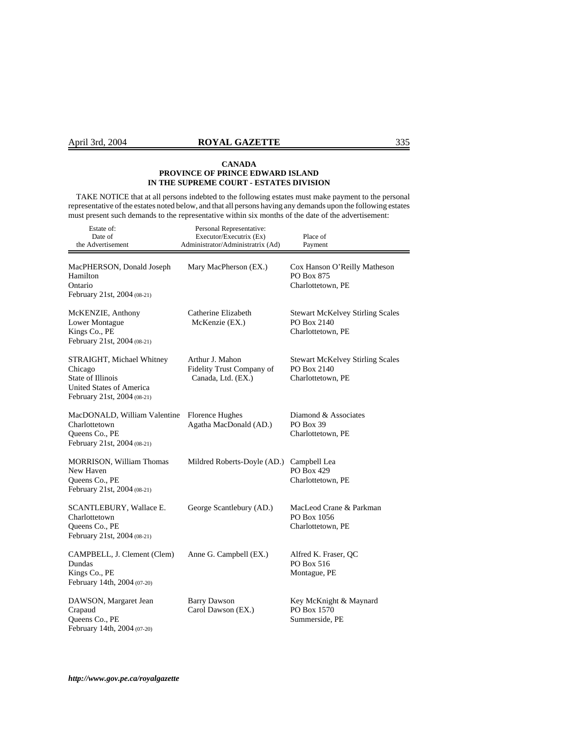# April 3rd, 2004 **ROYAL GAZETTE** 335

#### **CANADA PROVINCE OF PRINCE EDWARD ISLAND IN THE SUPREME COURT - ESTATES DIVISION**

 TAKE NOTICE that at all persons indebted to the following estates must make payment to the personal representative of the estates noted below, and that all persons having any demands upon the following estates must present such demands to the representative within six months of the date of the advertisement:

| Estate of:<br>Date of<br>the Advertisement                                                                           | Personal Representative:<br>Executor/Executrix (Ex)<br>Administrator/Administratrix (Ad) | Place of<br>Payment                                                         |
|----------------------------------------------------------------------------------------------------------------------|------------------------------------------------------------------------------------------|-----------------------------------------------------------------------------|
| MacPHERSON, Donald Joseph<br>Hamilton<br>Ontario<br>February 21st, 2004 (08-21)                                      | Mary MacPherson (EX.)                                                                    | Cox Hanson O'Reilly Matheson<br>PO Box 875<br>Charlottetown, PE             |
| McKENZIE, Anthony<br>Lower Montague<br>Kings Co., PE<br>February 21st, 2004 (08-21)                                  | Catherine Elizabeth<br>McKenzie (EX.)                                                    | <b>Stewart McKelvey Stirling Scales</b><br>PO Box 2140<br>Charlottetown, PE |
| STRAIGHT, Michael Whitney<br>Chicago<br>State of Illinois<br>United States of America<br>February 21st, 2004 (08-21) | Arthur J. Mahon<br>Fidelity Trust Company of<br>Canada, Ltd. (EX.)                       | <b>Stewart McKelvey Stirling Scales</b><br>PO Box 2140<br>Charlottetown, PE |
| MacDONALD, William Valentine<br>Charlottetown<br>Queens Co., PE<br>February 21st, 2004 (08-21)                       | Florence Hughes<br>Agatha MacDonald (AD.)                                                | Diamond & Associates<br>PO Box 39<br>Charlottetown, PE                      |
| <b>MORRISON, William Thomas</b><br>New Haven<br>Queens Co., PE<br>February 21st, 2004 (08-21)                        | Mildred Roberts-Doyle (AD.)                                                              | Campbell Lea<br>PO Box 429<br>Charlottetown, PE                             |
| SCANTLEBURY, Wallace E.<br>Charlottetown<br>Queens Co., PE<br>February 21st, 2004 (08-21)                            | George Scantlebury (AD.)                                                                 | MacLeod Crane & Parkman<br>PO Box 1056<br>Charlottetown, PE                 |
| CAMPBELL, J. Clement (Clem)<br>Dundas<br>Kings Co., PE<br>February 14th, 2004 (07-20)                                | Anne G. Campbell (EX.)                                                                   | Alfred K. Fraser, QC<br>PO Box 516<br>Montague, PE                          |
| DAWSON, Margaret Jean<br>Crapaud<br>Queens Co., PE<br>February 14th, 2004 (07-20)                                    | <b>Barry Dawson</b><br>Carol Dawson (EX.)                                                | Key McKnight & Maynard<br>PO Box 1570<br>Summerside, PE                     |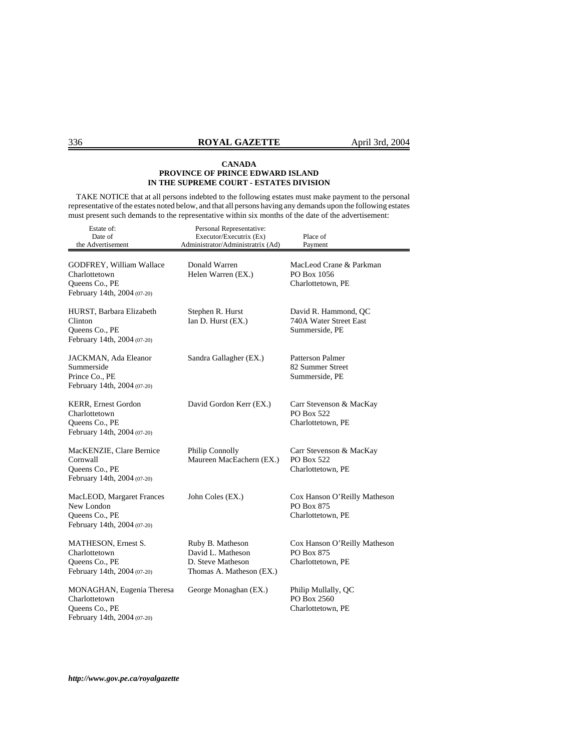TAKE NOTICE that at all persons indebted to the following estates must make payment to the personal representative of the estates noted below, and that all persons having any demands upon the following estates must present such demands to the representative within six months of the date of the advertisement:

| Estate of:<br>Date of<br>the Advertisement                                                  | Personal Representative:<br>Executor/Executrix (Ex)<br>Administrator/Administratrix (Ad) | Place of<br>Payment                                                    |
|---------------------------------------------------------------------------------------------|------------------------------------------------------------------------------------------|------------------------------------------------------------------------|
| GODFREY, William Wallace<br>Charlottetown<br>Queens Co., PE<br>February 14th, 2004 (07-20)  | Donald Warren<br>Helen Warren (EX.)                                                      | MacLeod Crane & Parkman<br>PO Box 1056<br>Charlottetown, PE            |
| HURST, Barbara Elizabeth<br>Clinton<br>Queens Co., PE<br>February 14th, 2004 (07-20)        | Stephen R. Hurst<br>Ian D. Hurst (EX.)                                                   | David R. Hammond, QC<br>740A Water Street East<br>Summerside, PE       |
| JACKMAN, Ada Eleanor<br>Summerside<br>Prince Co., PE<br>February 14th, 2004 (07-20)         | Sandra Gallagher (EX.)                                                                   | Patterson Palmer<br>82 Summer Street<br>Summerside, PE                 |
| KERR, Ernest Gordon<br>Charlottetown<br>Queens Co., PE<br>February 14th, 2004 (07-20)       | David Gordon Kerr (EX.)                                                                  | Carr Stevenson & MacKay<br>PO Box 522<br>Charlottetown, PE             |
| MacKENZIE, Clare Bernice<br>Cornwall<br>Queens Co., PE<br>February 14th, 2004 (07-20)       | Philip Connolly<br>Maureen MacEachern (EX.)                                              | Carr Stevenson & MacKay<br>PO Box 522<br>Charlottetown, PE             |
| MacLEOD, Margaret Frances<br>New London<br>Queens Co., PE<br>February 14th, 2004 (07-20)    | John Coles (EX.)                                                                         | Cox Hanson O'Reilly Matheson<br><b>PO Box 875</b><br>Charlottetown, PE |
| MATHESON, Ernest S.<br>Charlottetown<br>Queens Co., PE<br>February 14th, 2004 (07-20)       | Ruby B. Matheson<br>David L. Matheson<br>D. Steve Matheson<br>Thomas A. Matheson (EX.)   | Cox Hanson O'Reilly Matheson<br>PO Box 875<br>Charlottetown, PE        |
| MONAGHAN, Eugenia Theresa<br>Charlottetown<br>Queens Co., PE<br>February 14th, 2004 (07-20) | George Monaghan (EX.)                                                                    | Philip Mullally, QC<br>PO Box 2560<br>Charlottetown, PE                |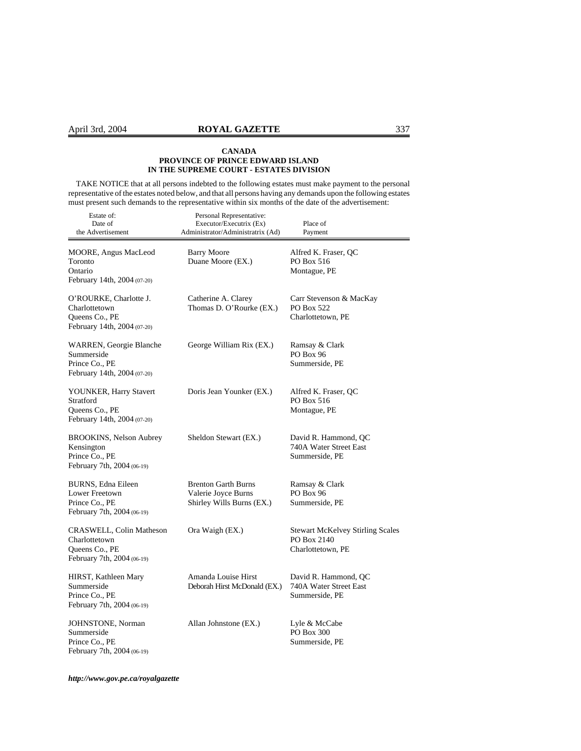TAKE NOTICE that at all persons indebted to the following estates must make payment to the personal representative of the estates noted below, and that all persons having any demands upon the following estates must present such demands to the representative within six months of the date of the advertisement:

| Estate of:<br>Date of<br>the Advertisement                                                | Personal Representative:<br>Executor/Executrix (Ex)<br>Administrator/Administratrix (Ad) | Place of<br>Payment                                                         |
|-------------------------------------------------------------------------------------------|------------------------------------------------------------------------------------------|-----------------------------------------------------------------------------|
| MOORE, Angus MacLeod<br>Toronto<br>Ontario<br>February 14th, 2004 (07-20)                 | <b>Barry Moore</b><br>Duane Moore (EX.)                                                  | Alfred K. Fraser, QC<br>PO Box 516<br>Montague, PE                          |
| O'ROURKE, Charlotte J.<br>Charlottetown<br>Queens Co., PE<br>February 14th, 2004 (07-20)  | Catherine A. Clarey<br>Thomas D. O'Rourke (EX.)                                          | Carr Stevenson & MacKay<br>PO Box 522<br>Charlottetown, PE                  |
| WARREN, Georgie Blanche<br>Summerside<br>Prince Co., PE<br>February 14th, 2004 (07-20)    | George William Rix (EX.)                                                                 | Ramsay & Clark<br>PO Box 96<br>Summerside, PE                               |
| YOUNKER, Harry Stavert<br>Stratford<br>Queens Co., PE<br>February 14th, 2004 (07-20)      | Doris Jean Younker (EX.)                                                                 | Alfred K. Fraser, QC<br>PO Box 516<br>Montague, PE                          |
| BROOKINS, Nelson Aubrey<br>Kensington<br>Prince Co., PE<br>February 7th, 2004 (06-19)     | Sheldon Stewart (EX.)                                                                    | David R. Hammond, QC<br>740A Water Street East<br>Summerside, PE            |
| BURNS, Edna Eileen<br>Lower Freetown<br>Prince Co., PE<br>February 7th, 2004 (06-19)      | <b>Brenton Garth Burns</b><br>Valerie Joyce Burns<br>Shirley Wills Burns (EX.)           | Ramsay & Clark<br><b>PO Box 96</b><br>Summerside, PE                        |
| CRASWELL, Colin Matheson<br>Charlottetown<br>Queens Co., PE<br>February 7th, 2004 (06-19) | Ora Waigh (EX.)                                                                          | <b>Stewart McKelvey Stirling Scales</b><br>PO Box 2140<br>Charlottetown, PE |
| HIRST, Kathleen Mary<br>Summerside<br>Prince Co., PE<br>February 7th, 2004 (06-19)        | Amanda Louise Hirst<br>Deborah Hirst McDonald (EX.)                                      | David R. Hammond, QC<br>740A Water Street East<br>Summerside, PE            |
| JOHNSTONE, Norman<br>Summerside<br>Prince Co., PE<br>February 7th, 2004 (06-19)           | Allan Johnstone (EX.)                                                                    | Lyle & McCabe<br>PO Box 300<br>Summerside, PE                               |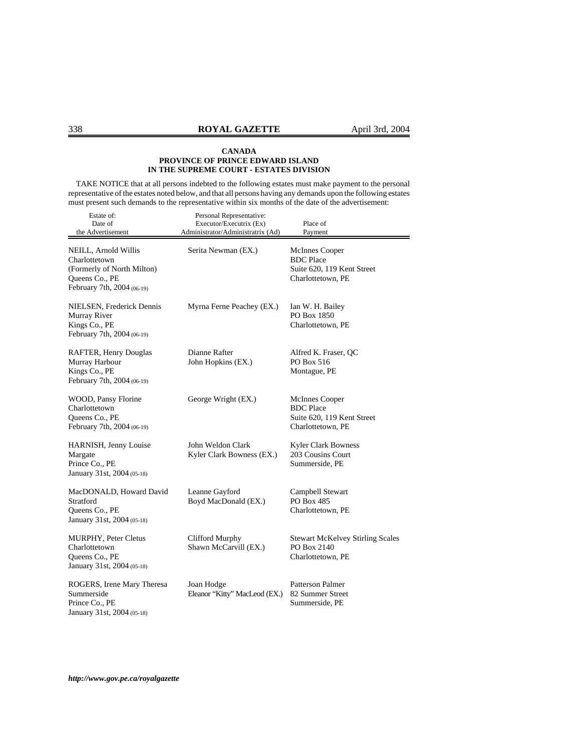TAKE NOTICE that at all persons indebted to the following estates must make payment to the personal representative of the estates noted below, and that all persons having any demands upon the following estates must present such demands to the representative within six months of the date of the advertisement:

| Estate of:<br>Date of<br>the Advertisement                                                                          | Personal Representative:<br>Executor/Executrix (Ex)<br>Administrator/Administratrix (Ad) | Place of<br>Payment                                                                          |
|---------------------------------------------------------------------------------------------------------------------|------------------------------------------------------------------------------------------|----------------------------------------------------------------------------------------------|
| NEILL, Arnold Willis<br>Charlottetown<br>(Formerly of North Milton)<br>Queens Co., PE<br>February 7th, 2004 (06-19) | Serita Newman (EX.)                                                                      | <b>McInnes Cooper</b><br><b>BDC</b> Place<br>Suite 620, 119 Kent Street<br>Charlottetown, PE |
| NIELSEN, Frederick Dennis<br>Murray River<br>Kings Co., PE<br>February 7th, 2004 (06-19)                            | Myrna Ferne Peachey (EX.)                                                                | Ian W. H. Bailey<br>PO Box 1850<br>Charlottetown, PE                                         |
| RAFTER, Henry Douglas<br>Murray Harbour<br>Kings Co., PE<br>February 7th, 2004 (06-19)                              | Dianne Rafter<br>John Hopkins (EX.)                                                      | Alfred K. Fraser, QC<br>PO Box 516<br>Montague, PE                                           |
| WOOD, Pansy Florine<br>Charlottetown<br>Queens Co., PE<br>February 7th, 2004 (06-19)                                | George Wright (EX.)                                                                      | <b>McInnes Cooper</b><br><b>BDC</b> Place<br>Suite 620, 119 Kent Street<br>Charlottetown, PE |
| HARNISH, Jenny Louise<br>Margate<br>Prince Co., PE<br>January 31st, 2004 (05-18)                                    | John Weldon Clark<br>Kyler Clark Bowness (EX.)                                           | <b>Kyler Clark Bowness</b><br>203 Cousins Court<br>Summerside, PE                            |
| MacDONALD, Howard David<br>Stratford<br>Queens Co., PE<br>January 31st, 2004 (05-18)                                | Leanne Gayford<br>Boyd MacDonald (EX.)                                                   | Campbell Stewart<br>PO Box 485<br>Charlottetown, PE                                          |
| <b>MURPHY, Peter Cletus</b><br>Charlottetown<br>Queens Co., PE<br>January 31st, 2004 (05-18)                        | Clifford Murphy<br>Shawn McCarvill (EX.)                                                 | <b>Stewart McKelvey Stirling Scales</b><br>PO Box 2140<br>Charlottetown, PE                  |
| ROGERS, Irene Mary Theresa<br>Summerside<br>Prince Co., PE<br>January 31st, 2004 (05-18)                            | Joan Hodge<br>Eleanor "Kitty" MacLeod (EX.)                                              | <b>Patterson Palmer</b><br>82 Summer Street<br>Summerside, PE                                |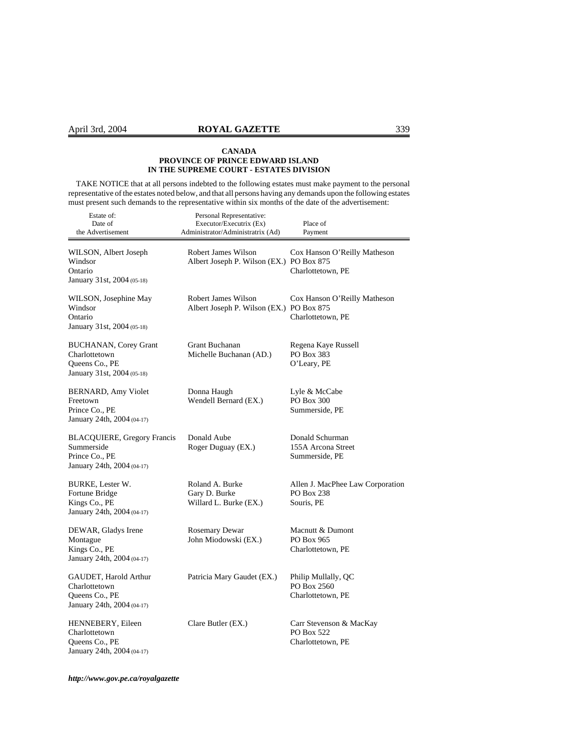TAKE NOTICE that at all persons indebted to the following estates must make payment to the personal representative of the estates noted below, and that all persons having any demands upon the following estates must present such demands to the representative within six months of the date of the advertisement:

| Estate of:<br>Date of<br>the Advertisement                                                       | Personal Representative:<br>Executor/Executrix (Ex)<br>Administrator/Administratrix (Ad) | Place of<br>Payment                                          |
|--------------------------------------------------------------------------------------------------|------------------------------------------------------------------------------------------|--------------------------------------------------------------|
| WILSON, Albert Joseph<br>Windsor<br>Ontario<br>January 31st, 2004 (05-18)                        | Robert James Wilson<br>Albert Joseph P. Wilson (EX.) PO Box 875                          | Cox Hanson O'Reilly Matheson<br>Charlottetown, PE            |
| WILSON, Josephine May<br>Windsor<br>Ontario<br>January 31st, 2004 (05-18)                        | Robert James Wilson<br>Albert Joseph P. Wilson (EX.) PO Box 875                          | Cox Hanson O'Reilly Matheson<br>Charlottetown, PE            |
| <b>BUCHANAN, Corey Grant</b><br>Charlottetown<br>Queens Co., PE<br>January 31st, 2004 (05-18)    | Grant Buchanan<br>Michelle Buchanan (AD.)                                                | Regena Kaye Russell<br>PO Box 383<br>O'Leary, PE             |
| BERNARD, Amy Violet<br>Freetown<br>Prince Co., PE<br>January 24th, 2004 (04-17)                  | Donna Haugh<br>Wendell Bernard (EX.)                                                     | Lyle & McCabe<br>PO Box 300<br>Summerside, PE                |
| <b>BLACQUIERE, Gregory Francis</b><br>Summerside<br>Prince Co., PE<br>January 24th, 2004 (04-17) | Donald Aube<br>Roger Duguay (EX.)                                                        | Donald Schurman<br>155A Arcona Street<br>Summerside, PE      |
| <b>BURKE, Lester W.</b><br>Fortune Bridge<br>Kings Co., PE<br>January 24th, 2004 (04-17)         | Roland A. Burke<br>Gary D. Burke<br>Willard L. Burke (EX.)                               | Allen J. MacPhee Law Corporation<br>PO Box 238<br>Souris, PE |
| DEWAR, Gladys Irene<br>Montague<br>Kings Co., PE<br>January 24th, 2004 (04-17)                   | <b>Rosemary Dewar</b><br>John Miodowski (EX.)                                            | Macnutt & Dumont<br>PO Box 965<br>Charlottetown, PE          |
| GAUDET, Harold Arthur<br>Charlottetown<br>Queens Co., PE<br>January 24th, 2004 (04-17)           | Patricia Mary Gaudet (EX.)                                                               | Philip Mullally, QC<br>PO Box 2560<br>Charlottetown, PE      |
| HENNEBERY, Eileen<br>Charlottetown<br>Queens Co., PE<br>January 24th, 2004 (04-17)               | Clare Butler (EX.)                                                                       | Carr Stevenson & MacKay<br>PO Box 522<br>Charlottetown, PE   |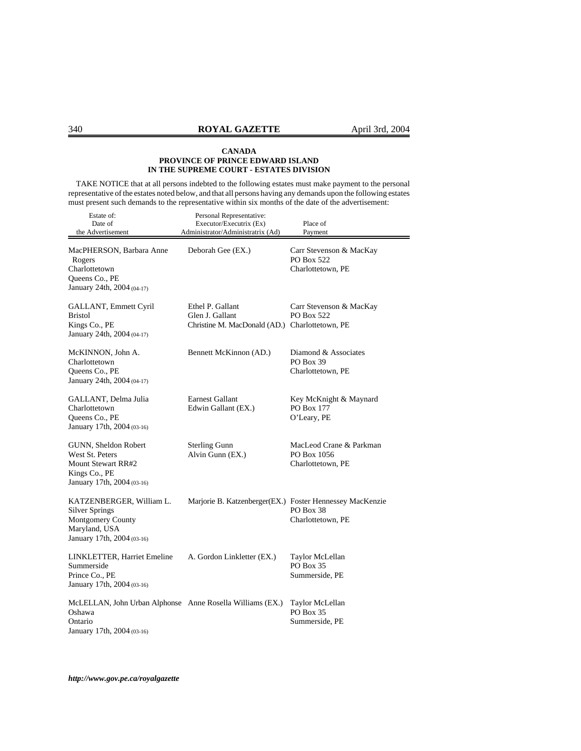TAKE NOTICE that at all persons indebted to the following estates must make payment to the personal representative of the estates noted below, and that all persons having any demands upon the following estates must present such demands to the representative within six months of the date of the advertisement:

| Estate of:<br>Date of<br>the Advertisement                                                                            | Personal Representative:<br>Executor/Executrix (Ex)<br>Administrator/Administratrix (Ad) | Place of<br>Payment                                               |
|-----------------------------------------------------------------------------------------------------------------------|------------------------------------------------------------------------------------------|-------------------------------------------------------------------|
| MacPHERSON, Barbara Anne<br>Rogers<br>Charlottetown<br>Queens Co., PE<br>January 24th, 2004 (04-17)                   | Deborah Gee (EX.)                                                                        | Carr Stevenson & MacKay<br><b>PO Box 522</b><br>Charlottetown, PE |
| GALLANT, Emmett Cyril<br>Bristol<br>Kings Co., PE<br>January 24th, 2004 (04-17)                                       | Ethel P. Gallant<br>Glen J. Gallant<br>Christine M. MacDonald (AD.) Charlottetown, PE    | Carr Stevenson & MacKay<br>PO Box 522                             |
| McKINNON, John A.<br>Charlottetown<br>Queens Co., PE<br>January 24th, 2004 (04-17)                                    | Bennett McKinnon (AD.)                                                                   | Diamond & Associates<br>PO Box 39<br>Charlottetown, PE            |
| GALLANT, Delma Julia<br>Charlottetown<br>Queens Co., PE<br>January 17th, 2004 (03-16)                                 | <b>Earnest Gallant</b><br>Edwin Gallant (EX.)                                            | Key McKnight & Maynard<br>PO Box 177<br>O'Leary, PE               |
| GUNN, Sheldon Robert<br>West St. Peters<br><b>Mount Stewart RR#2</b><br>Kings Co., PE<br>January 17th, 2004 (03-16)   | <b>Sterling Gunn</b><br>Alvin Gunn (EX.)                                                 | MacLeod Crane & Parkman<br>PO Box 1056<br>Charlottetown, PE       |
| KATZENBERGER, William L.<br><b>Silver Springs</b><br>Montgomery County<br>Maryland, USA<br>January 17th, 2004 (03-16) | Marjorie B. Katzenberger(EX.) Foster Hennessey MacKenzie                                 | PO Box 38<br>Charlottetown, PE                                    |
| LINKLETTER, Harriet Emeline<br>Summerside<br>Prince Co., PE<br>January 17th, 2004 (03-16)                             | A. Gordon Linkletter (EX.)                                                               | Taylor McLellan<br>PO Box 35<br>Summerside, PE                    |
| McLELLAN, John Urban Alphonse Anne Rosella Williams (EX.)<br>Oshawa<br>Ontario<br>January 17th, 2004 (03-16)          |                                                                                          | Taylor McLellan<br>PO Box 35<br>Summerside, PE                    |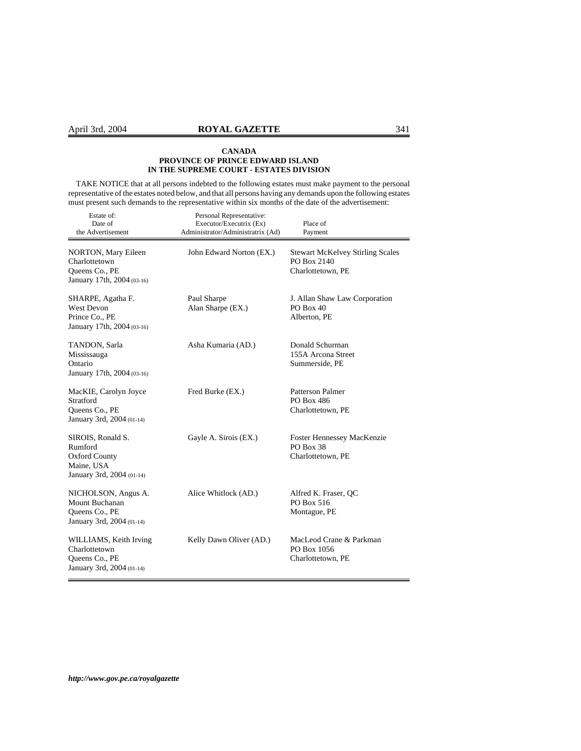TAKE NOTICE that at all persons indebted to the following estates must make payment to the personal representative of the estates noted below, and that all persons having any demands upon the following estates must present such demands to the representative within six months of the date of the advertisement:

| Estate of:<br>Date of<br>the Advertisement                                                      | Personal Representative:<br>Executor/Executrix (Ex)<br>Administrator/Administratrix (Ad) | Place of<br>Payment                                                         |
|-------------------------------------------------------------------------------------------------|------------------------------------------------------------------------------------------|-----------------------------------------------------------------------------|
| <b>NORTON, Mary Eileen</b><br>Charlottetown<br>Queens Co., PE<br>January 17th, 2004 (03-16)     | John Edward Norton (EX.)                                                                 | <b>Stewart McKelvey Stirling Scales</b><br>PO Box 2140<br>Charlottetown, PE |
| SHARPE, Agatha F.<br><b>West Devon</b><br>Prince Co., PE<br>January 17th, 2004 (03-16)          | Paul Sharpe<br>Alan Sharpe (EX.)                                                         | J. Allan Shaw Law Corporation<br>$PO$ Box 40<br>Alberton, PE                |
| TANDON, Sarla<br>Mississauga<br>Ontario<br>January 17th, 2004 (03-16)                           | Asha Kumaria (AD.)                                                                       | Donald Schurman<br>155A Arcona Street<br>Summerside, PE                     |
| MacKIE, Carolyn Joyce<br>Stratford<br>Queens Co., PE<br>January 3rd, 2004 (01-14)               | Fred Burke (EX.)                                                                         | Patterson Palmer<br>PO Box 486<br>Charlottetown, PE                         |
| SIROIS, Ronald S.<br>Rumford<br><b>Oxford County</b><br>Maine, USA<br>January 3rd, 2004 (01-14) | Gayle A. Sirois (EX.)                                                                    | <b>Foster Hennessey MacKenzie</b><br>PO Box 38<br>Charlottetown, PE         |
| NICHOLSON, Angus A.<br>Mount Buchanan<br>Queens Co., PE<br>January 3rd, 2004 (01-14)            | Alice Whitlock (AD.)                                                                     | Alfred K. Fraser, QC<br>PO Box 516<br>Montague, PE                          |
| WILLIAMS, Keith Irving<br>Charlottetown<br>Queens Co., PE<br>January 3rd, 2004 (01-14)          | Kelly Dawn Oliver (AD.)                                                                  | MacLeod Crane & Parkman<br>PO Box 1056<br>Charlottetown, PE                 |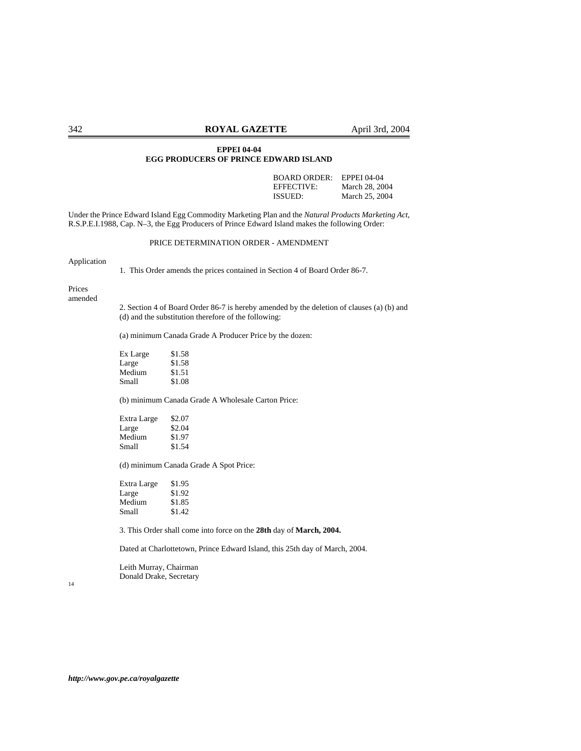#### **EPPEI 04-04 EGG PRODUCERS OF PRINCE EDWARD ISLAND**

BOARD ORDER: EPPEI 04-04 EFFECTIVE: March 28, 2004 ISSUED: March 25, 2004

Under the Prince Edward Island Egg Commodity Marketing Plan and the *Natural Products Marketing Act*, R.S.P.E.I.1988, Cap. N–3, the Egg Producers of Prince Edward Island makes the following Order:

#### PRICE DETERMINATION ORDER - AMENDMENT

Application

1. This Order amends the prices contained in Section 4 of Board Order 86-7.

Prices amended

> 2. Section 4 of Board Order 86-7 is hereby amended by the deletion of clauses (a) (b) and (d) and the substitution therefore of the following:

(a) minimum Canada Grade A Producer Price by the dozen:

| Ex Large | \$1.58 |
|----------|--------|
| Large    | \$1.58 |
| Medium   | \$1.51 |
| Small    | \$1.08 |

(b) minimum Canada Grade A Wholesale Carton Price:

| Extra Large | \$2.07 |
|-------------|--------|
| Large       | \$2.04 |
| Medium      | \$1.97 |
| Small       | \$1.54 |

(d) minimum Canada Grade A Spot Price:

| Extra Large | \$1.95 |
|-------------|--------|
| Large       | \$1.92 |
| Medium      | \$1.85 |
| Small       | \$1.42 |

3. This Order shall come into force on the **28th** day of **March, 2004.**

Dated at Charlottetown, Prince Edward Island, this 25th day of March, 2004.

Leith Murray, Chairman Donald Drake, Secretary

14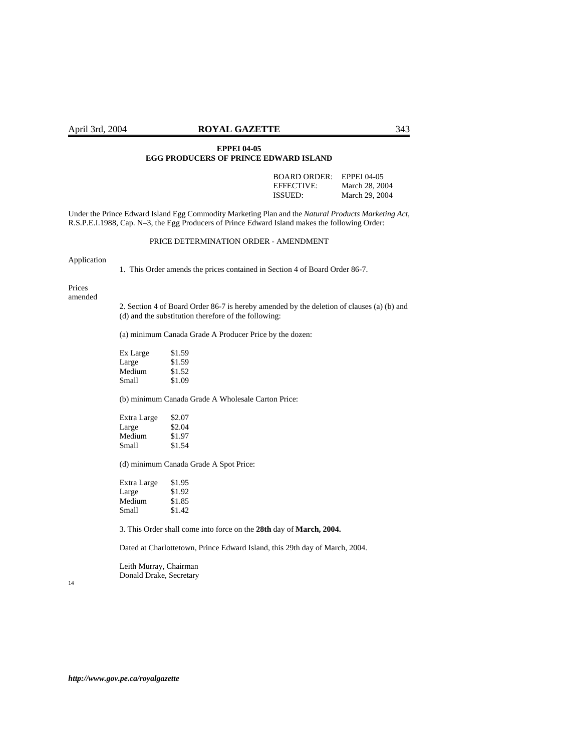#### April 3rd, 2004 **ROYAL GAZETTE** 343

#### **EPPEI 04-05 EGG PRODUCERS OF PRINCE EDWARD ISLAND**

BOARD ORDER: EPPEI 04-05<br>EFFECTIVE: March 28. 20 EFFECTIVE: March 28, 2004<br>ISSUED: March 29, 2004 March 29, 2004

Under the Prince Edward Island Egg Commodity Marketing Plan and the *Natural Products Marketing Act*, R.S.P.E.I.1988, Cap. N–3, the Egg Producers of Prince Edward Island makes the following Order:

#### PRICE DETERMINATION ORDER - AMENDMENT

Application

1. This Order amends the prices contained in Section 4 of Board Order 86-7.

Prices amended

> 2. Section 4 of Board Order 86-7 is hereby amended by the deletion of clauses (a) (b) and (d) and the substitution therefore of the following:

(a) minimum Canada Grade A Producer Price by the dozen:

| Ex Large | \$1.59 |
|----------|--------|
| Large    | \$1.59 |
| Medium   | \$1.52 |
| Small    | \$1.09 |

(b) minimum Canada Grade A Wholesale Carton Price:

| Extra Large | \$2.07 |
|-------------|--------|
| Large       | \$2.04 |
| Medium      | \$1.97 |
| Small       | \$1.54 |

(d) minimum Canada Grade A Spot Price:

| \$1.95 |
|--------|
| \$1.92 |
| \$1.85 |
| \$1.42 |
|        |

3. This Order shall come into force on the **28th** day of **March, 2004.**

Dated at Charlottetown, Prince Edward Island, this 29th day of March, 2004.

Leith Murray, Chairman Donald Drake, Secretary

14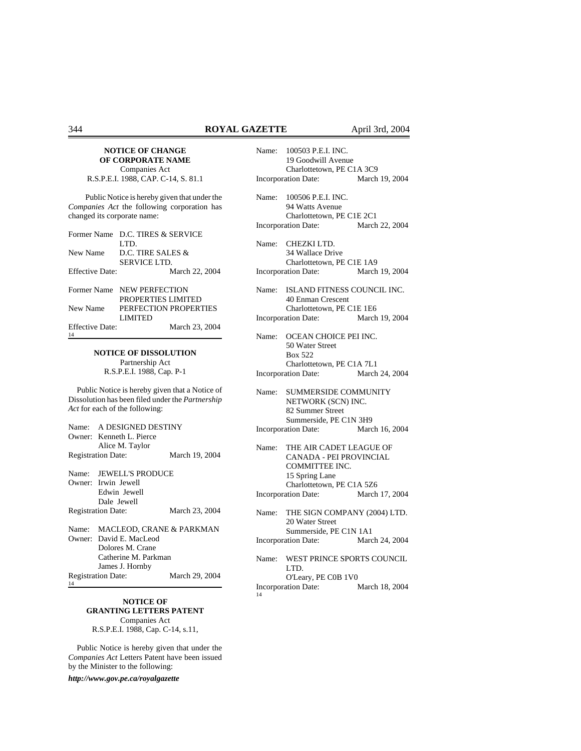#### **NOTICE OF CHANGE OF CORPORATE NAME** Companies Act

R.S.P.E.I. 1988, CAP. C-14, S. 81.1

Public Notice is hereby given that under the *Companies Act* the following corporation has changed its corporate name:

|                 | Former Name D.C. TIRES & SERVICE |
|-----------------|----------------------------------|
|                 | LTD.                             |
|                 | New Name D.C. TIRE SALES &       |
|                 | SERVICE LTD.                     |
| Effective Date: | March 22, 2004                   |
|                 | Former Name NEW PERFECTION       |
|                 | PROPERTIES LIMITED               |
| New Name        | PERFECTION PROPERTIES            |
|                 | <b>LIMITED</b>                   |
| Effective Date: | March 23, 2004                   |
| 14              |                                  |

# **NOTICE OF DISSOLUTION** Partnership Act

R.S.P.E.I. 1988, Cap. P-1

Public Notice is hereby given that a Notice of Dissolution has been filed under the *Partnership Act* for each of the following:

| Name: A DESIGNED DESTINY       |                |
|--------------------------------|----------------|
| Owner: Kenneth L. Pierce       |                |
| Alice M. Taylor                |                |
| <b>Registration Date:</b>      | March 19, 2004 |
| Name: JEWELL'S PRODUCE         |                |
| Owner: Irwin Jewell            |                |
| Edwin Jewell                   |                |
| Dale Jewell                    |                |
| <b>Registration Date:</b>      | March 23, 2004 |
| Name: MACLEOD, CRANE & PARKMAN |                |
| Owner: David E. MacLeod        |                |
| Dolores M. Crane               |                |
| Catherine M. Parkman           |                |

# **NOTICE OF GRANTING LETTERS PATENT**

Registration Date: March 29, 2004

Companies Act R.S.P.E.I. 1988, Cap. C-14, s.11,

Public Notice is hereby given that under the *Companies Act* Letters Patent have been issued by the Minister to the following:

*http://www.gov.pe.ca/royalgazette*

James J. Hornby

14

| Name:                                                                     | 100503 P.E.I. INC.<br>19 Goodwill Avenue                                                      |                |  |
|---------------------------------------------------------------------------|-----------------------------------------------------------------------------------------------|----------------|--|
| Charlottetown, PE C1A 3C9<br><b>Incorporation Date:</b><br>March 19, 2004 |                                                                                               |                |  |
| Name:                                                                     | 100506 P.E.I. INC.<br>94 Watts Avenue                                                         |                |  |
|                                                                           | Charlottetown, PE C1E 2C1<br><b>Incorporation Date:</b>                                       | March 22, 2004 |  |
| Name:                                                                     | CHEZKI LTD.<br>34 Wallace Drive                                                               |                |  |
|                                                                           | Charlottetown, PE C1E 1A9<br><b>Incorporation Date:</b>                                       | March 19, 2004 |  |
| Name:                                                                     | ISLAND FITNESS COUNCIL INC.<br>40 Enman Crescent                                              |                |  |
|                                                                           | Charlottetown, PE C1E 1E6                                                                     |                |  |
|                                                                           | <b>Incorporation Date:</b>                                                                    | March 19, 2004 |  |
| Name:                                                                     | OCEAN CHOICE PEI INC.<br>50 Water Street<br><b>Box 522</b><br>Charlottetown, PE C1A 7L1       |                |  |
| March 24, 2004<br>Incorporation Date:                                     |                                                                                               |                |  |
| Name:                                                                     | <b>SUMMERSIDE COMMUNITY</b><br>NETWORK (SCN) INC.<br>82 Summer Street                         |                |  |
|                                                                           | Summerside, PE C1N 3H9                                                                        |                |  |
| <b>Incorporation Date:</b>                                                |                                                                                               | March 16, 2004 |  |
| Name:                                                                     | THE AIR CADET LEAGUE OF<br>CANADA - PEI PROVINCIAL<br><b>COMMITTEE INC.</b><br>15 Spring Lane |                |  |
|                                                                           | Charlottetown, PE C1A 5Z6<br>Incorporation Date:                                              | March 17, 2004 |  |
| Name:                                                                     | THE SIGN COMPANY (2004) LTD.<br>20 Water Street                                               |                |  |
| Summerside, PE C1N 1A1<br>March 24, 2004<br>Incorporation Date:           |                                                                                               |                |  |
| Name:                                                                     | WEST PRINCE SPORTS COUNCIL<br>LTD.                                                            |                |  |
| 14                                                                        | O'Leary, PE C0B 1V0<br><b>Incorporation Date:</b>                                             | March 18, 2004 |  |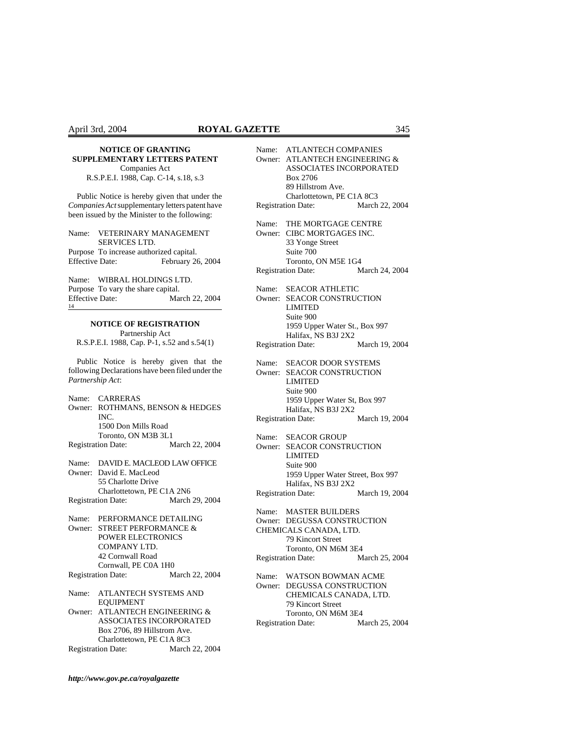R.S.P.E.I. 1988, Cap. C-14, s.18, s.3

Public Notice is hereby given that under the *Companies Act* supplementary letters patent have been issued by the Minister to the following:

Name: VETERINARY MANAGEMENT SERVICES LTD.

Purpose To increase authorized capital. Effective Date: February 26, 2004

Name: WIBRAL HOLDINGS LTD. Purpose To vary the share capital. Effective Date: March 22, 2004 14

## **NOTICE OF REGISTRATION**

Partnership Act R.S.P.E.I. 1988, Cap. P-1, s.52 and s.54(1)

Public Notice is hereby given that the following Declarations have been filed under the *Partnership Act*:

Name: CARRERAS Owner: ROTHMANS, BENSON & HEDGES INC. 1500 Don Mills Road Toronto, ON M3B 3L1 Registration Date: March 22, 2004

Name: DAVID E. MACLEOD LAW OFFICE Owner: David E. MacLeod 55 Charlotte Drive Charlottetown, PE C1A 2N6 Registration Date: March 29, 2004

Name: PERFORMANCE DETAILING Owner: STREET PERFORMANCE & POWER ELECTRONICS COMPANY LTD. 42 Cornwall Road Cornwall, PE C0A 1H0 Registration Date: March 22, 2004

Name: ATLANTECH SYSTEMS AND EQUIPMENT

Owner: ATLANTECH ENGINEERING & ASSOCIATES INCORPORATED Box 2706, 89 Hillstrom Ave. Charlottetown, PE C1A 8C3 Registration Date: March 22, 2004 Name: ATLANTECH COMPANIES Owner: ATLANTECH ENGINEERING & ASSOCIATES INCORPORATED Box 2706 89 Hillstrom Ave. Charlottetown, PE C1A 8C3 Registration Date: March 22, 2004 Name: THE MORTGAGE CENTRE Owner: CIBC MORTGAGES INC. 33 Yonge Street Suite 700 Toronto, ON M5E 1G4 Registration Date: March 24, 2004 Name: SEACOR ATHLETIC Owner: SEACOR CONSTRUCTION LIMITED Suite 900 1959 Upper Water St., Box 997 Halifax, NS B3J 2X2 Registration Date: March 19, 2004 Name: SEACOR DOOR SYSTEMS Owner: SEACOR CONSTRUCTION LIMITED Suite 900 1959 Upper Water St, Box 997 Halifax, NS B3J 2X2 Registration Date: March 19, 2004 Name: SEACOR GROUP Owner: SEACOR CONSTRUCTION LIMITED Suite 900 1959 Upper Water Street, Box 997 Halifax, NS B3J 2X2 Registration Date: March 19, 2004 Name: MASTER BUILDERS Owner: DEGUSSA CONSTRUCTION CHEMICALS CANADA, LTD. 79 Kincort Street Toronto, ON M6M 3E4 Registration Date: March 25, 2004 Name: WATSON BOWMAN ACME Owner: DEGUSSA CONSTRUCTION CHEMICALS CANADA, LTD. 79 Kincort Street Toronto, ON M6M 3E4 Registration Date: March 25, 2004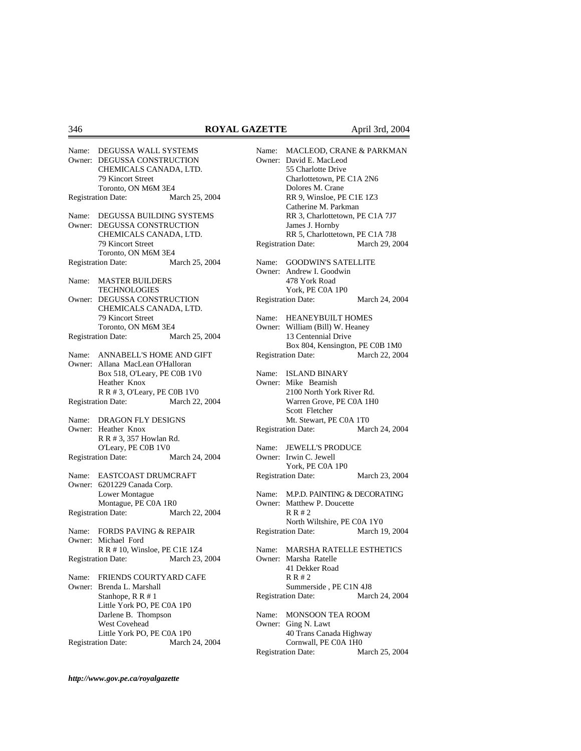|                            | Name: DEGUSSA WALL SYSTEMS<br>Owner: DEGUSSA CONSTRUCTION     |                |
|----------------------------|---------------------------------------------------------------|----------------|
|                            | CHEMICALS CANADA, LTD.                                        |                |
|                            | 79 Kincort Street                                             |                |
|                            | Toronto, ON M6M 3E4<br><b>Registration Date:</b>              | March 25, 2004 |
|                            |                                                               |                |
|                            | Name: DEGUSSA BUILDING SYSTEMS<br>Owner: DEGUSSA CONSTRUCTION |                |
|                            | CHEMICALS CANADA, LTD.                                        |                |
|                            | 79 Kincort Street                                             |                |
|                            | Toronto, ON M6M 3E4                                           |                |
|                            | <b>Registration Date:</b>                                     | March 25, 2004 |
|                            |                                                               |                |
|                            | Name: MASTER BUILDERS<br><b>TECHNOLOGIES</b>                  |                |
|                            | Owner: DEGUSSA CONSTRUCTION                                   |                |
|                            | CHEMICALS CANADA, LTD.                                        |                |
|                            | 79 Kincort Street                                             |                |
|                            | Toronto, ON M6M 3E4                                           |                |
|                            | <b>Registration Date:</b>                                     | March 25, 2004 |
|                            | Name: ANNABELL'S HOME AND GIFT                                |                |
|                            | Owner: Allana MacLean O'Halloran                              |                |
|                            | Box 518, O'Leary, PE C0B 1V0                                  |                |
|                            | Heather Knox                                                  |                |
|                            | R R # 3, O'Leary, PE C0B 1V0                                  |                |
|                            | <b>Registration Date:</b>                                     | March 22, 2004 |
|                            |                                                               |                |
|                            | Name: DRAGON FLY DESIGNS<br>Owner: Heather Knox               |                |
|                            | R R # 3, 357 Howlan Rd.                                       |                |
|                            | O'Leary, PE C0B 1V0                                           |                |
|                            | <b>Registration Date:</b>                                     | March 24, 2004 |
|                            | Name: EASTCOAST DRUMCRAFT                                     |                |
|                            | Owner: 6201229 Canada Corp.                                   |                |
|                            | Lower Montague                                                |                |
|                            | Montague, PE C0A 1R0                                          |                |
|                            | <b>Registration Date:</b>                                     | March 22, 2004 |
|                            | Name: FORDS PAVING & REPAIR                                   |                |
|                            | Owner: Michael Ford                                           |                |
|                            | R R # 10, Winsloe, PE C1E 1Z4                                 |                |
|                            | <b>Registration Date:</b>                                     | March 23, 2004 |
| Name:                      | FRIENDS COURTYARD CAFE                                        |                |
|                            | Owner: Brenda L. Marshall                                     |                |
|                            | Stanhope, R R # 1                                             |                |
| Little York PO, PE C0A 1P0 |                                                               |                |
| Darlene B. Thompson        |                                                               |                |
|                            | West Covehead                                                 |                |
|                            | Little York PO, PE C0A 1P0<br><b>Registration Date:</b>       | March 24, 2004 |
|                            |                                                               |                |

Name: MACLEOD, CRANE & PARKMAN Owner: David E. MacLeod 55 Charlotte Drive Charlottetown, PE C1A 2N6 Dolores M. Crane RR 9, Winsloe, PE C1E 1Z3 Catherine M. Parkman RR 3, Charlottetown, PE C1A 7J7 James J. Hornby RR 5, Charlottetown, PE C1A 7J8<br>ion Date: March 29, 2004 Registration Date: Name: GOODWIN'S SATELLITE Owner: Andrew I. Goodwin 478 York Road York, PE C0A 1P0 Registration Date: March 24, 2004 Name: HEANEYBUILT HOMES Owner: William (Bill) W. Heaney 13 Centennial Drive Box 804, Kensington, PE C0B 1M0 Registration Date: March 22, 2004 Name: ISLAND BINARY Owner: Mike Beamish 2100 North York River Rd. Warren Grove, PE C0A 1H0 Scott Fletcher Mt. Stewart, PE C0A 1T0 Registration Date: March 24, 2004 Name: JEWELL'S PRODUCE Owner: Irwin C. Jewell York, PE C0A 1P0 Registration Date: March 23, 2004 Name: M.P.D. PAINTING & DECORATING Owner: Matthew P. Doucette R R # 2 North Wiltshire, PE C0A 1Y0 Registration Date: March 19, 2004 Name: MARSHA RATELLE ESTHETICS Owner: Marsha Ratelle 41 Dekker Road R R # 2 Summerside , PE C1N 4J8 Registration Date: March 24, 2004 Name: MONSOON TEA ROOM Owner: Ging N. Lawt 40 Trans Canada Highway Cornwall, PE C0A 1H0<br>ion Date: March 25, 2004 Registration Date: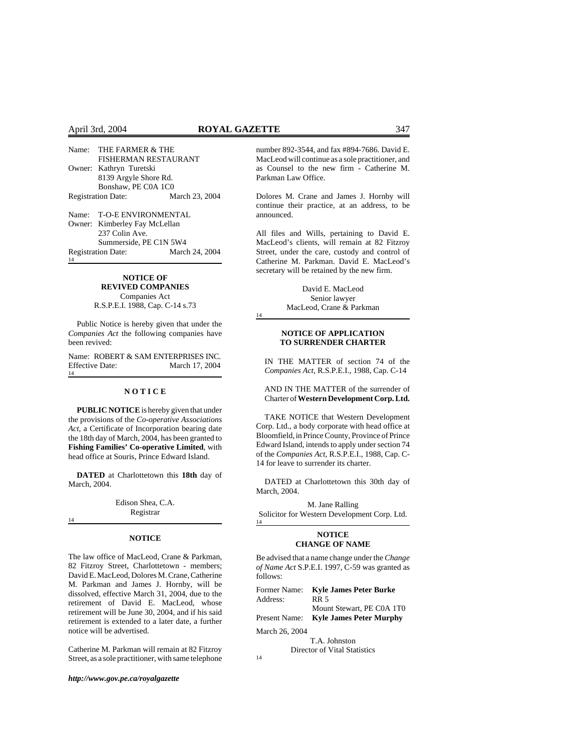#### April 3rd, 2004 **ROYAL GAZETTE** 347

| Name: THE FARMER & THE        |                |  |
|-------------------------------|----------------|--|
| FISHERMAN RESTAURANT          |                |  |
| Owner: Kathryn Turetski       |                |  |
| 8139 Argyle Shore Rd.         |                |  |
| Bonshaw, PE C0A 1C0           |                |  |
| <b>Registration Date:</b>     | March 23, 2004 |  |
| Name: T-O-E ENVIRONMENTAL     |                |  |
| Owner: Kimberley Fay McLellan |                |  |
| 237 Colin Ave.                |                |  |
| Summerside, PE C1N 5W4        |                |  |

Registration Date: March 24, 2004 14

#### **NOTICE OF REVIVED COMPANIES** Companies Act

R.S.P.E.I. 1988, Cap. C-14 s.73

Public Notice is hereby given that under the *Companies Act* the following companies have been revived:

Name: ROBERT & SAM ENTERPRISES INC. Effective Date: March 17, 2004 14

#### **N O T I C E**

**PUBLIC NOTICE** is hereby given that under the provisions of the *Co-operative Associations Act*, a Certificate of Incorporation bearing date the 18th day of March, 2004, has been granted to **Fishing Families' Co-operative Limited**, with head office at Souris, Prince Edward Island.

**DATED** at Charlottetown this **18th** day of March, 2004.

> Edison Shea, C.A. Registrar

#### 14

#### **NOTICE**

The law office of MacLeod, Crane & Parkman, 82 Fitzroy Street, Charlottetown - members; David E. MacLeod, Dolores M. Crane, Catherine M. Parkman and James J. Hornby, will be dissolved, effective March 31, 2004, due to the retirement of David E. MacLeod, whose retirement will be June 30, 2004, and if his said retirement is extended to a later date, a further notice will be advertised.

Catherine M. Parkman will remain at 82 Fitzroy Street, as a sole practitioner, with same telephone

*http://www.gov.pe.ca/royalgazette*

number 892-3544, and fax #894-7686. David E. MacLeod will continue as a sole practitioner, and as Counsel to the new firm - Catherine M. Parkman Law Office.

Dolores M. Crane and James J. Hornby will continue their practice, at an address, to be announced.

All files and Wills, pertaining to David E. MacLeod's clients, will remain at 82 Fitzroy Street, under the care, custody and control of Catherine M. Parkman. David E. MacLeod's secretary will be retained by the new firm.

> David E. MacLeod Senior lawyer MacLeod, Crane & Parkman

#### 14

#### **NOTICE OF APPLICATION TO SURRENDER CHARTER**

IN THE MATTER of section 74 of the *Companies Act*, R.S.P.E.I., 1988, Cap. C-14

AND IN THE MATTER of the surrender of Charter of **Western Development Corp. Ltd.**

TAKE NOTICE that Western Development Corp. Ltd., a body corporate with head office at Bloomfield, in Prince County, Province of Prince Edward Island, intends to apply under section 74 of the *Companies Act*, R.S.P.E.I., 1988, Cap. C-14 for leave to surrender its charter.

DATED at Charlottetown this 30th day of March, 2004.

M. Jane Ralling Solicitor for Western Development Corp. Ltd. 14

#### **NOTICE CHANGE OF NAME**

Be advised that a name change under the *Change of Name Act* S.P.E.I. 1997, C-59 was granted as follows:

| Former Name:                 | <b>Kyle James Peter Burke</b>  |  |  |
|------------------------------|--------------------------------|--|--|
| Address:                     | <b>RR 5</b>                    |  |  |
|                              | Mount Stewart, PE C0A 1T0      |  |  |
| Present Name:                | <b>Kyle James Peter Murphy</b> |  |  |
| March 26, 2004               |                                |  |  |
|                              | T.A. Johnston                  |  |  |
| Director of Vital Statistics |                                |  |  |
| 14                           |                                |  |  |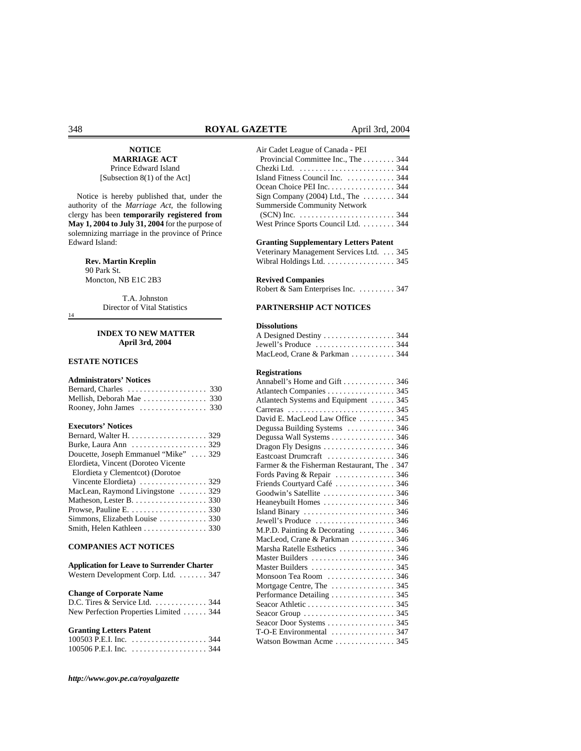#### **NOTICE MARRIAGE ACT**

Prince Edward Island [Subsection 8(1) of the Act]

Notice is hereby published that, under the authority of the *Marriage Act*, the following clergy has been **temporarily registered from May 1, 2004 to July 31, 2004** for the purpose of solemnizing marriage in the province of Prince Edward Island:

> **Rev. Martin Kreplin**  90 Park St. Moncton, NB E1C 2B3

> > T.A. Johnston Director of Vital Statistics

14

#### **INDEX TO NEW MATTER April 3rd, 2004**

### **ESTATE NOTICES**

# **Administrators' Notices**

| Mellish, Deborah Mae  330                          |  |
|----------------------------------------------------|--|
| Rooney, John James $\dots\dots\dots\dots\dots$ 330 |  |

#### **Executors' Notices**

| Bernard, Walter H. $\dots \dots \dots \dots \dots \dots$ 329  |
|---------------------------------------------------------------|
| Burke, Laura Ann $\ldots \ldots \ldots \ldots \ldots$ 329     |
| Doucette, Joseph Emmanuel "Mike"  329                         |
| Elordieta, Vincent (Doroteo Vicente                           |
| Elordieta y Clementcot) (Dorotoe                              |
|                                                               |
| MacLean, Raymond Livingstone  329                             |
| Matheson, Lester B. $\dots \dots \dots \dots \dots \dots$ 330 |
| Prowse, Pauline E. $\dots \dots \dots \dots \dots \dots 330$  |
|                                                               |
| Smith, Helen Kathleen 330                                     |

# **COMPANIES ACT NOTICES**

| <b>Application for Leave to Surrender Charter</b> |  |
|---------------------------------------------------|--|
| Western Development Corp. Ltd. 347                |  |

### **Change of Corporate Name**

| D.C. Tires & Service Ltd.  344         |  |
|----------------------------------------|--|
| New Perfection Properties Limited  344 |  |

## **Granting Letters Patent**

*http://www.gov.pe.ca/royalgazette*

| Air Cadet League of Canada - PEI                                           |
|----------------------------------------------------------------------------|
| Provincial Committee Inc., The  344                                        |
|                                                                            |
| Island Fitness Council Inc.  344                                           |
| Ocean Choice PEI Inc. 344                                                  |
| Sign Company (2004) Ltd., The $\ldots \ldots$ 344                          |
| <b>Summerside Community Network</b>                                        |
| $SCN$ ) Inc. $\ldots \ldots \ldots \ldots \ldots \ldots \ldots \ldots$ 344 |
| West Prince Sports Council Ltd. 344                                        |
| <b>Granting Supplementary Letters Patent</b>                               |
| Veterinary Management Services Ltd.  345                                   |
| Wibral Holdings Ltd. $\ldots$ . 345                                        |
| <b>Revived Companies</b>                                                   |
| Robert & Sam Enterprises Inc.  347                                         |
|                                                                            |

#### **PARTNERSHIP ACT NOTICES**

#### **Dissolutions**

| Jewell's Produce $\dots\dots\dots\dots\dots\dots344$ |  |
|------------------------------------------------------|--|
| MacLeod, Crane & Parkman 344                         |  |

#### **Registrations**

| Annabell's Home and Gift  346                                        |  |
|----------------------------------------------------------------------|--|
| Atlantech Companies 345                                              |  |
| Atlantech Systems and Equipment  345                                 |  |
|                                                                      |  |
| David E. MacLeod Law Office  345                                     |  |
| Degussa Building Systems  346                                        |  |
| Degussa Wall Systems  346                                            |  |
| Dragon Fly Designs 346                                               |  |
| Eastcoast Drumcraft  346                                             |  |
| Farmer & the Fisherman Restaurant, The . 347                         |  |
| Fords Paving & Repair  346                                           |  |
| Friends Courtyard Café  346                                          |  |
| Goodwin's Satellite  346                                             |  |
| Heaneybuilt Homes  346                                               |  |
| Island Binary $\ldots \ldots \ldots \ldots \ldots \ldots \ldots$ 346 |  |
|                                                                      |  |
| M.P.D. Painting & Decorating  346                                    |  |
| MacLeod, Crane & Parkman 346                                         |  |
| Marsha Ratelle Esthetics  346                                        |  |
|                                                                      |  |
|                                                                      |  |
| Monsoon Tea Room  346                                                |  |
|                                                                      |  |
| Performance Detailing  345                                           |  |
|                                                                      |  |
|                                                                      |  |
| Seacor Door Systems  345                                             |  |
| T-O-E Environmental  347                                             |  |
| Watson Bowman Acme  345                                              |  |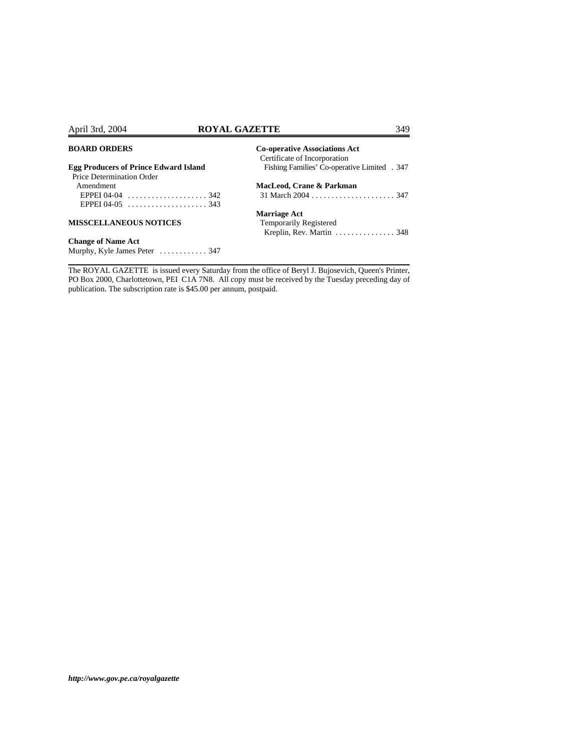# April 3rd, 2004 **ROYAL GAZETTE** 349

# **BOARD ORDERS**

Murphy, Kyle James Peter ............ 347

| <b>BOARD ORDERS</b>                             | <b>Co-operative Associations Act</b><br>Certificate of Incorporation |
|-------------------------------------------------|----------------------------------------------------------------------|
| <b>Egg Producers of Prince Edward Island</b>    | Fishing Families' Co-operative Limited . 347                         |
| Price Determination Order                       |                                                                      |
| Amendment                                       | MacLeod, Crane & Parkman                                             |
| EPPEI 04-04 $\dots\dots\dots\dots\dots\dots342$ |                                                                      |
|                                                 |                                                                      |
|                                                 | <b>Marriage Act</b>                                                  |
| <b>MISSCELLANEOUS NOTICES</b>                   | <b>Temporarily Registered</b>                                        |
|                                                 | Kreplin, Rev. Martin $\ldots \ldots \ldots \ldots$ 348               |
| <b>Change of Name Act</b>                       |                                                                      |

The ROYAL GAZETTE is issued every Saturday from the office of Beryl J. Bujosevich, Queen's Printer, PO Box 2000, Charlottetown, PEI C1A 7N8. All copy must be received by the Tuesday preceding day of publication. The subscription rate is \$45.00 per annum, postpaid.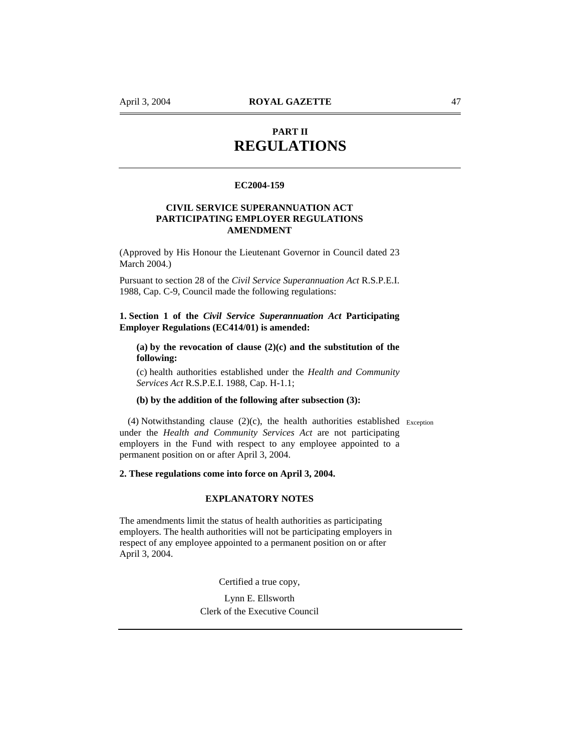# **PART II REGULATIONS**

# **EC2004-159**

# **CIVIL SERVICE SUPERANNUATION ACT PARTICIPATING EMPLOYER REGULATIONS AMENDMENT**

(Approved by His Honour the Lieutenant Governor in Council dated 23 March 2004.)

Pursuant to section 28 of the *Civil Service Superannuation Act* R.S.P.E.I. 1988, Cap. C-9, Council made the following regulations:

**1. Section 1 of the** *Civil Service Superannuation Act* **Participating Employer Regulations (EC414/01) is amended:** 

**(a) by the revocation of clause (2)(c) and the substitution of the following:** 

(c) health authorities established under the *Health and Community Services Act* R.S.P.E.I. 1988, Cap. H-1.1;

### **(b) by the addition of the following after subsection (3):**

(4) Notwithstanding clause (2)(c), the health authorities established Exception under the *Health and Community Services Act* are not participating employers in the Fund with respect to any employee appointed to a permanent position on or after April 3, 2004.

# **2. These regulations come into force on April 3, 2004.**

# **EXPLANATORY NOTES**

The amendments limit the status of health authorities as participating employers. The health authorities will not be participating employers in respect of any employee appointed to a permanent position on or after April 3, 2004.

Certified a true copy,

Lynn E. Ellsworth Clerk of the Executive Council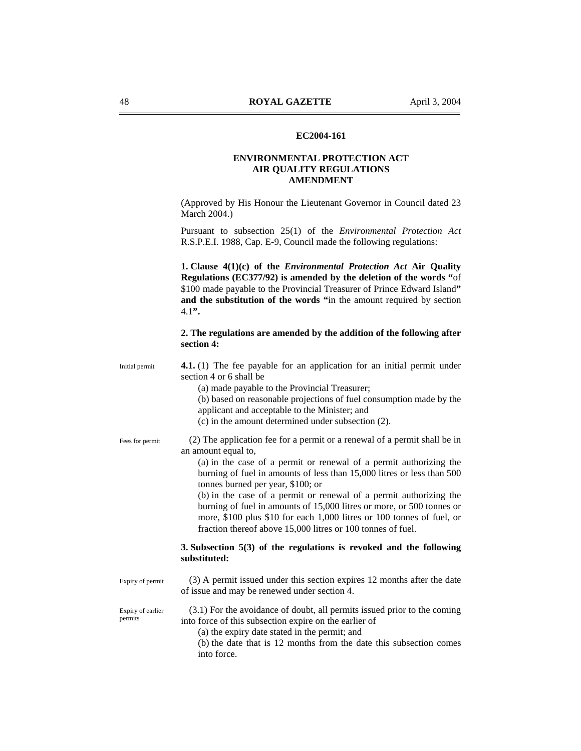### **EC2004-161**

# **ENVIRONMENTAL PROTECTION ACT AIR QUALITY REGULATIONS AMENDMENT**

(Approved by His Honour the Lieutenant Governor in Council dated 23 March 2004.)

Pursuant to subsection 25(1) of the *Environmental Protection Act* R.S.P.E.I. 1988, Cap. E-9, Council made the following regulations:

**1. Clause 4(1)(c) of the** *Environmental Protection Act* **Air Quality Regulations (EC377/92) is amended by the deletion of the words "**of \$100 made payable to the Provincial Treasurer of Prince Edward Island**" and the substitution of the words "**in the amount required by section 4.1**".** 

# **2. The regulations are amended by the addition of the following after section 4:**

**4.1.** (1) The fee payable for an application for an initial permit under section 4 or 6 shall be Initial permit

(a) made payable to the Provincial Treasurer;

(b) based on reasonable projections of fuel consumption made by the applicant and acceptable to the Minister; and

(c) in the amount determined under subsection (2).

Fees for permit

(2) The application fee for a permit or a renewal of a permit shall be in an amount equal to,

(a) in the case of a permit or renewal of a permit authorizing the burning of fuel in amounts of less than 15,000 litres or less than 500 tonnes burned per year, \$100; or

(b) in the case of a permit or renewal of a permit authorizing the burning of fuel in amounts of 15,000 litres or more, or 500 tonnes or more, \$100 plus \$10 for each 1,000 litres or 100 tonnes of fuel, or fraction thereof above 15,000 litres or 100 tonnes of fuel.

# **3. Subsection 5(3) of the regulations is revoked and the following substituted:**

Expiry of permit

(3) A permit issued under this section expires 12 months after the date of issue and may be renewed under section 4.

Expiry of earlier permits

- (3.1) For the avoidance of doubt, all permits issued prior to the coming into force of this subsection expire on the earlier of
	- (a) the expiry date stated in the permit; and

(b) the date that is 12 months from the date this subsection comes into force.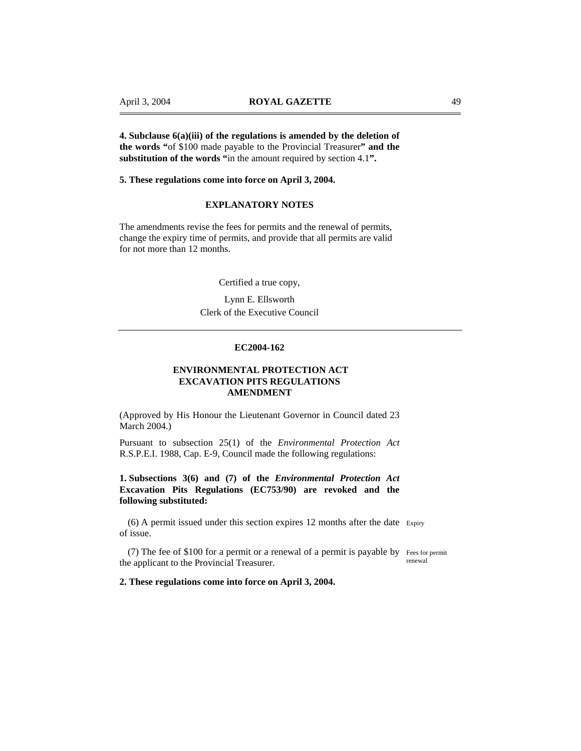**4. Subclause 6(a)(iii) of the regulations is amended by the deletion of the words "**of \$100 made payable to the Provincial Treasurer**" and the substitution of the words "**in the amount required by section 4.1**".** 

#### **5. These regulations come into force on April 3, 2004.**

# **EXPLANATORY NOTES**

The amendments revise the fees for permits and the renewal of permits, change the expiry time of permits, and provide that all permits are valid for not more than 12 months.

Certified a true copy,

Lynn E. Ellsworth Clerk of the Executive Council

#### **EC2004-162**

# **ENVIRONMENTAL PROTECTION ACT EXCAVATION PITS REGULATIONS AMENDMENT**

(Approved by His Honour the Lieutenant Governor in Council dated 23 March 2004.)

Pursuant to subsection 25(1) of the *Environmental Protection Act* R.S.P.E.I. 1988, Cap. E-9, Council made the following regulations:

# **1. Subsections 3(6) and (7) of the** *Environmental Protection Act* **Excavation Pits Regulations (EC753/90) are revoked and the following substituted:**

(6) A permit issued under this section expires 12 months after the date Expiry of issue.

(7) The fee of \$100 for a permit or a renewal of a permit is payable by Fees for permit the applicant to the Provincial Treasurer. renewal

#### **2. These regulations come into force on April 3, 2004.**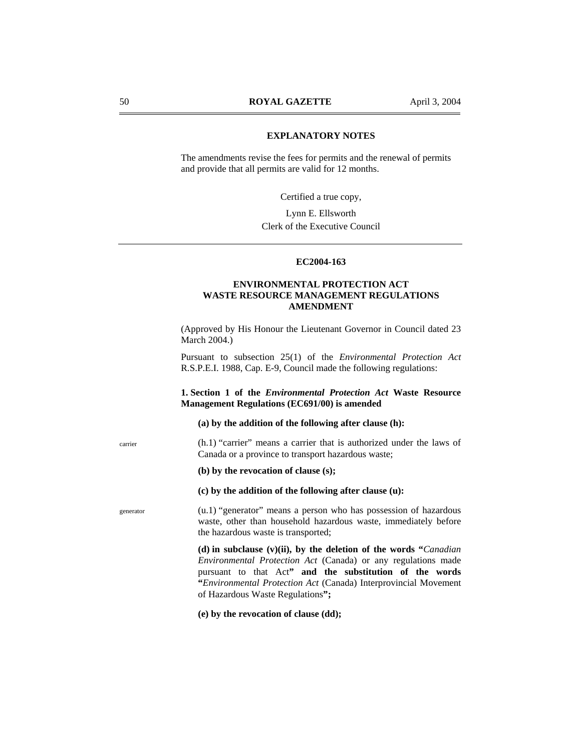# **EXPLANATORY NOTES**

The amendments revise the fees for permits and the renewal of permits and provide that all permits are valid for 12 months.

Certified a true copy,

Lynn E. Ellsworth Clerk of the Executive Council

#### **EC2004-163**

# **ENVIRONMENTAL PROTECTION ACT WASTE RESOURCE MANAGEMENT REGULATIONS AMENDMENT**

(Approved by His Honour the Lieutenant Governor in Council dated 23 March 2004.)

Pursuant to subsection 25(1) of the *Environmental Protection Act* R.S.P.E.I. 1988, Cap. E-9, Council made the following regulations:

# **1. Section 1 of the** *Environmental Protection Act* **Waste Resource Management Regulations (EC691/00) is amended**

**(a) by the addition of the following after clause (h):** 

(h.1) "carrier" means a carrier that is authorized under the laws of Canada or a province to transport hazardous waste;

**(b) by the revocation of clause (s);** 

# **(c) by the addition of the following after clause (u):**

(u.1) "generator" means a person who has possession of hazardous waste, other than household hazardous waste, immediately before the hazardous waste is transported;

**(d) in subclause (v)(ii), by the deletion of the words "***Canadian Environmental Protection Act* (Canada) or any regulations made pursuant to that Act**" and the substitution of the words "***Environmental Protection Act* (Canada) Interprovincial Movement of Hazardous Waste Regulations**";** 

**(e) by the revocation of clause (dd);** 

generator

carrier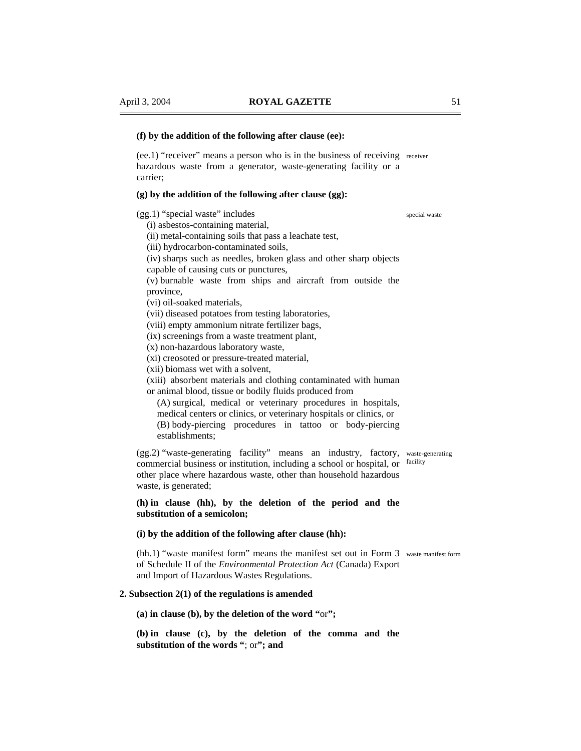# **(f) by the addition of the following after clause (ee):**

(ee.1) "receiver" means a person who is in the business of receiving receiver hazardous waste from a generator, waste-generating facility or a carrier;

#### **(g) by the addition of the following after clause (gg):**

(gg.1) "special waste" includes

(i) asbestos-containing material,

- (ii) metal-containing soils that pass a leachate test,
- (iii) hydrocarbon-contaminated soils,

(iv) sharps such as needles, broken glass and other sharp objects capable of causing cuts or punctures,

(v) burnable waste from ships and aircraft from outside the province,

(vi) oil-soaked materials,

(vii) diseased potatoes from testing laboratories,

(viii) empty ammonium nitrate fertilizer bags,

(ix) screenings from a waste treatment plant,

(x) non-hazardous laboratory waste,

(xi) creosoted or pressure-treated material,

(xii) biomass wet with a solvent,

(xiii) absorbent materials and clothing contaminated with human or animal blood, tissue or bodily fluids produced from

(A) surgical, medical or veterinary procedures in hospitals, medical centers or clinics, or veterinary hospitals or clinics, or (B) body-piercing procedures in tattoo or body-piercing establishments;

(gg.2) "waste-generating facility" means an industry, factory, waste-generating commercial business or institution, including a school or hospital, or facility other place where hazardous waste, other than household hazardous waste, is generated;

**(h) in clause (hh), by the deletion of the period and the substitution of a semicolon;** 

#### **(i) by the addition of the following after clause (hh):**

(hh.1) "waste manifest form" means the manifest set out in Form 3 waste manifest form of Schedule II of the *Environmental Protection Act* (Canada) Export and Import of Hazardous Wastes Regulations.

# **2. Subsection 2(1) of the regulations is amended**

**(a) in clause (b), by the deletion of the word "**or**";** 

**(b) in clause (c), by the deletion of the comma and the substitution of the words "**; or**"; and** 

special waste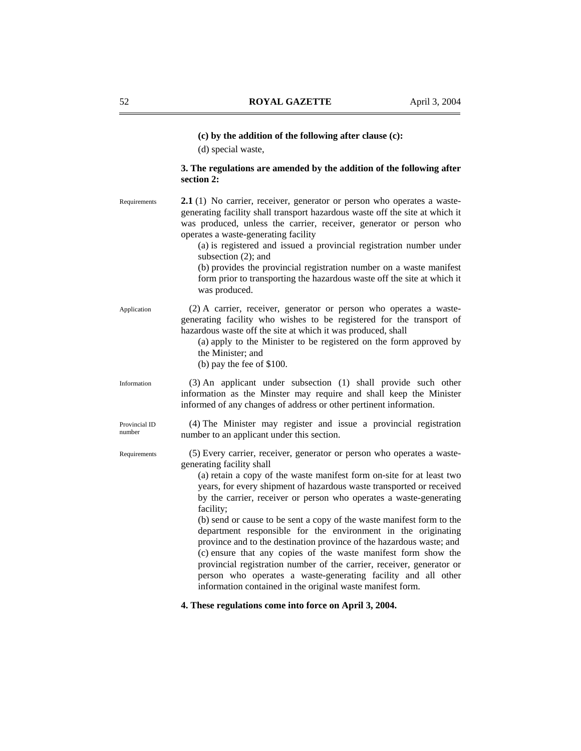# **(c) by the addition of the following after clause (c):**

(d) special waste,

# **3. The regulations are amended by the addition of the following after section 2:**

**2.1** (1) No carrier, receiver, generator or person who operates a wastegenerating facility shall transport hazardous waste off the site at which it was produced, unless the carrier, receiver, generator or person who operates a waste-generating facility Requirements

> (a) is registered and issued a provincial registration number under subsection (2); and

> (b) provides the provincial registration number on a waste manifest form prior to transporting the hazardous waste off the site at which it was produced.

(2) A carrier, receiver, generator or person who operates a wastegenerating facility who wishes to be registered for the transport of hazardous waste off the site at which it was produced, shall Application

> (a) apply to the Minister to be registered on the form approved by the Minister; and

(b) pay the fee of \$100.

(3) An applicant under subsection (1) shall provide such other information as the Minster may require and shall keep the Minister informed of any changes of address or other pertinent information.

(4) The Minister may register and issue a provincial registration number to an applicant under this section.

(5) Every carrier, receiver, generator or person who operates a wastegenerating facility shall

(a) retain a copy of the waste manifest form on-site for at least two years, for every shipment of hazardous waste transported or received by the carrier, receiver or person who operates a waste-generating facility;

(b) send or cause to be sent a copy of the waste manifest form to the department responsible for the environment in the originating province and to the destination province of the hazardous waste; and (c) ensure that any copies of the waste manifest form show the provincial registration number of the carrier, receiver, generator or person who operates a waste-generating facility and all other information contained in the original waste manifest form.

**4. These regulations come into force on April 3, 2004.** 

Provincial ID number

Information

Requirements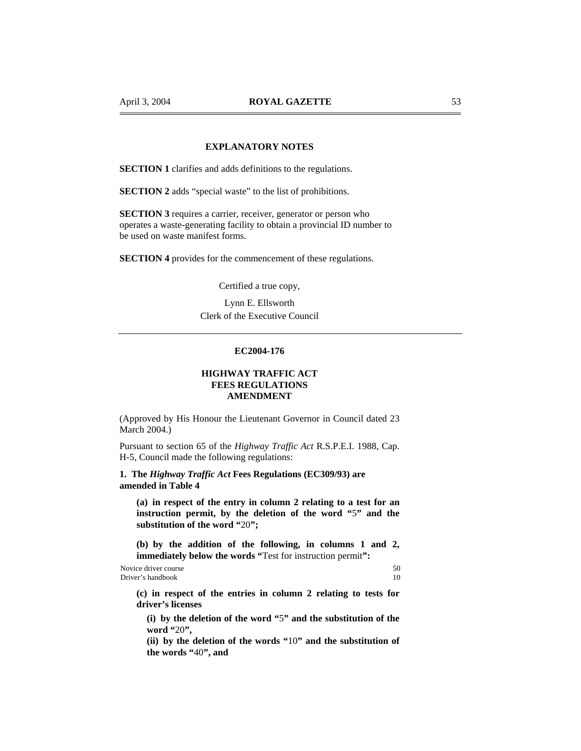# **EXPLANATORY NOTES**

**SECTION 1** clarifies and adds definitions to the regulations.

**SECTION 2** adds "special waste" to the list of prohibitions.

**SECTION 3** requires a carrier, receiver, generator or person who operates a waste-generating facility to obtain a provincial ID number to be used on waste manifest forms.

**SECTION 4** provides for the commencement of these regulations.

Certified a true copy,

Lynn E. Ellsworth Clerk of the Executive Council

# **EC2004-176**

# **HIGHWAY TRAFFIC ACT FEES REGULATIONS AMENDMENT**

(Approved by His Honour the Lieutenant Governor in Council dated 23 March 2004.)

Pursuant to section 65 of the *Highway Traffic Act* R.S.P.E.I. 1988, Cap. H-5, Council made the following regulations:

# **1. The** *Highway Traffic Act* **Fees Regulations (EC309/93) are amended in Table 4**

**(a) in respect of the entry in column 2 relating to a test for an instruction permit, by the deletion of the word "**5**" and the substitution of the word "**20**";** 

**(b) by the addition of the following, in columns 1 and 2, immediately below the words "**Test for instruction permit**":** 

Novice driver course 50 Driver's handbook 10

**(c) in respect of the entries in column 2 relating to tests for driver's licenses** 

**(i) by the deletion of the word "**5**" and the substitution of the word "**20**",** 

**(ii) by the deletion of the words "**10**" and the substitution of the words "**40**", and**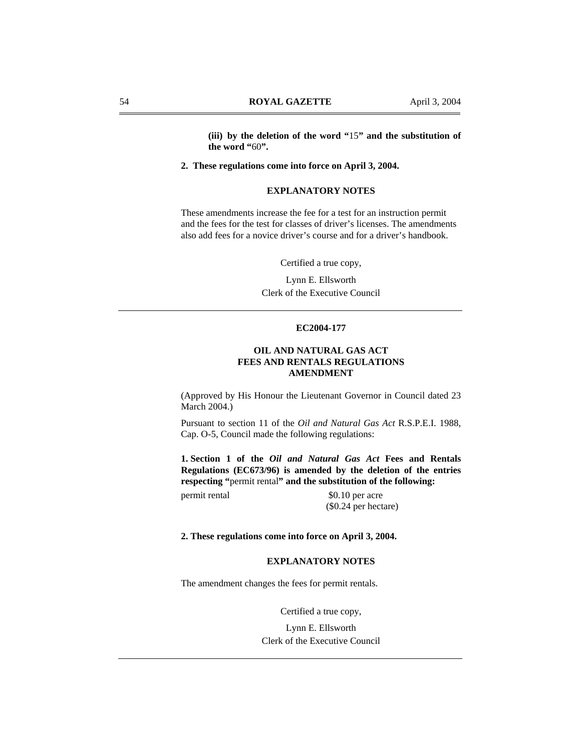**(iii) by the deletion of the word "**15**" and the substitution of the word "**60**".** 

**2. These regulations come into force on April 3, 2004.** 

# **EXPLANATORY NOTES**

These amendments increase the fee for a test for an instruction permit and the fees for the test for classes of driver's licenses. The amendments also add fees for a novice driver's course and for a driver's handbook.

Certified a true copy,

Lynn E. Ellsworth Clerk of the Executive Council

# **EC2004-177**

# **OIL AND NATURAL GAS ACT FEES AND RENTALS REGULATIONS AMENDMENT**

(Approved by His Honour the Lieutenant Governor in Council dated 23 March 2004.)

Pursuant to section 11 of the *Oil and Natural Gas Act* R.S.P.E.I. 1988, Cap. O-5, Council made the following regulations:

**1. Section 1 of the** *Oil and Natural Gas Act* **Fees and Rentals Regulations (EC673/96) is amended by the deletion of the entries respecting "**permit rental**" and the substitution of the following:** 

permit rental \$0.10 per acre (\$0.24 per hectare)

#### **2. These regulations come into force on April 3, 2004.**

# **EXPLANATORY NOTES**

The amendment changes the fees for permit rentals.

Certified a true copy,

Lynn E. Ellsworth Clerk of the Executive Council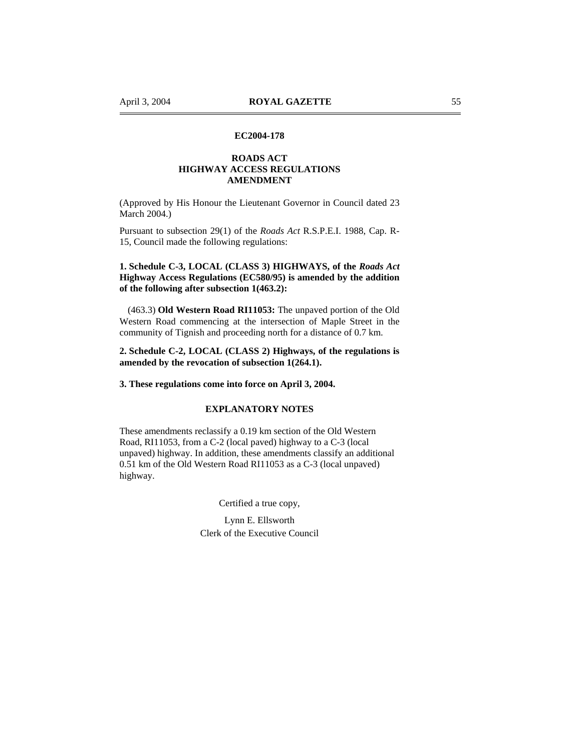# **EC2004-178**

# **ROADS ACT HIGHWAY ACCESS REGULATIONS AMENDMENT**

(Approved by His Honour the Lieutenant Governor in Council dated 23 March 2004.)

Pursuant to subsection 29(1) of the *Roads Act* R.S.P.E.I. 1988, Cap. R-15, Council made the following regulations:

# **1. Schedule C-3, LOCAL (CLASS 3) HIGHWAYS, of the** *Roads Act* **Highway Access Regulations (EC580/95) is amended by the addition of the following after subsection 1(463.2):**

(463.3) **Old Western Road RI11053:** The unpaved portion of the Old Western Road commencing at the intersection of Maple Street in the community of Tignish and proceeding north for a distance of 0.7 km.

# **2. Schedule C-2, LOCAL (CLASS 2) Highways, of the regulations is amended by the revocation of subsection 1(264.1).**

**3. These regulations come into force on April 3, 2004.** 

# **EXPLANATORY NOTES**

These amendments reclassify a 0.19 km section of the Old Western Road, RI11053, from a C-2 (local paved) highway to a C-3 (local unpaved) highway. In addition, these amendments classify an additional 0.51 km of the Old Western Road RI11053 as a C-3 (local unpaved) highway.

Certified a true copy,

Lynn E. Ellsworth Clerk of the Executive Council